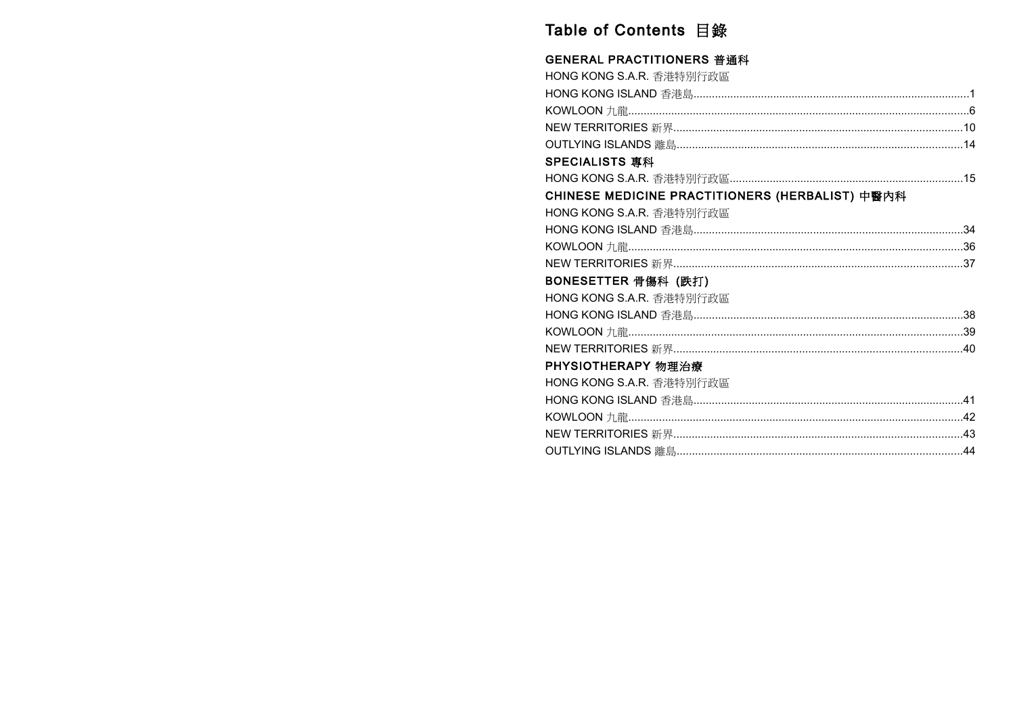# Table of Contents 目錄

#### **GENERAL PRACTITIONERS 普通科**

| HONG KONG S.A.R. 香港特別行政區                        |  |
|-------------------------------------------------|--|
|                                                 |  |
|                                                 |  |
|                                                 |  |
|                                                 |  |
| SPECIALISTS 專科                                  |  |
|                                                 |  |
| CHINESE MEDICINE PRACTITIONERS (HERBALIST) 中醫內科 |  |
| HONG KONG S.A.R. 香港特別行政區                        |  |
|                                                 |  |
|                                                 |  |
|                                                 |  |
| BONESETTER 骨傷科 (跌打)                             |  |
| HONG KONG S.A.R. 香港特別行政區                        |  |
|                                                 |  |
|                                                 |  |
|                                                 |  |
| PHYSIOTHERAPY 物理治療                              |  |
| HONG KONG S.A.R. 香港特別行政區                        |  |
|                                                 |  |
|                                                 |  |
|                                                 |  |
|                                                 |  |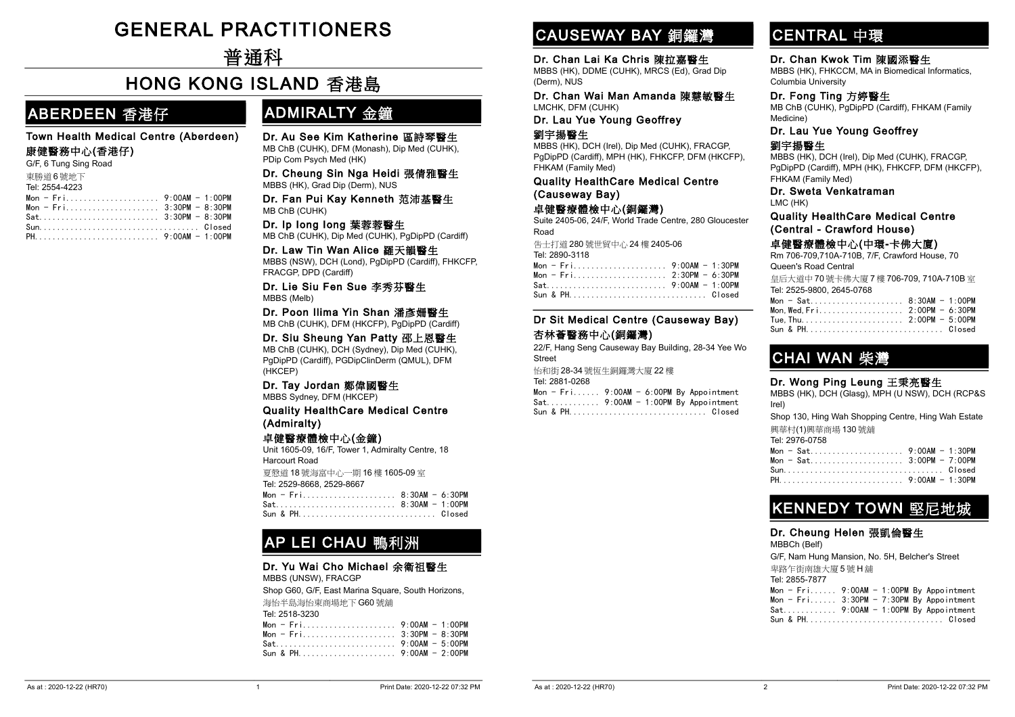# -GENERAL PRACTITIONERS

-普通科

### -HONG KONG ISLAND 香港島

### ABERDEEN 香港仔

#### Town Health Medical Centre (Aberdeen)

#### 康健醫務中心(香港仔)

|           |  |  | G/F, 6 Tung Sing Road |  |
|-----------|--|--|-----------------------|--|
| 土地兴奋 医肺质子 |  |  |                       |  |

| 東勝道6號地下        |  |
|----------------|--|
| Tel: 2554-4223 |  |
|                |  |
|                |  |
|                |  |
|                |  |
|                |  |

### ADMIRALTY 金鐘

Dr. Au See Kim Katherine 區詩琴醫生 MB ChB (CUHK), DFM (Monash), Dip Med (CUHK), PDip Com Psych Med (HK)

Dr. Cheung Sin Nga Heidi 張倩雅醫生 MBBS (HK), Grad Dip (Derm), NUS

Dr. Fan Pui Kay Kenneth 范沛基醫生 MB ChB (CUHK)

#### Dr. Ip Iong Iong 葉蓉蓉醫生

MB ChB (CUHK), Dip Med (CUHK), PgDipPD (Cardiff)

#### Dr. Law Tin Wan Alice 羅天韻醫生

MBBS (NSW), DCH (Lond), PgDipPD (Cardiff), FHKCFP, FRACGP, DPD (Cardiff)

Dr. Lie Siu Fen Sue 李秀芬醫生 MBBS (Melb)

Dr. Poon Ilima Yin Shan 潘彥姍醫生 MB ChB (CUHK), DFM (HKCFP), PgDipPD (Cardiff)

Dr. Siu Sheung Yan Patty 邵上恩醫生 MB ChB (CUHK), DCH (Sydney), Dip Med (CUHK), PgDipPD (Cardiff), PGDipClinDerm (QMUL), DFM (HKCEP)

#### Dr. Tay Jordan 鄭偉國醫生

MBBS Sydney, DFM (HKCEP)

Quality HealthCare Medical Centre (Admiralty)

#### 卓健醫療體檢中心(金鐘)

Unit 1605-09, 16/F, Tower 1, Admiralty Centre, 18 Harcourt Road

夏慤道 18 號海富中心一期 16 樓 1605-09 室 Tel: 2529-8668, 2529-8667

| Mon - Fri 8:30AM - 6:30PM |  |  |  |  |  |  |  |  |  |  |  |  |  |  |
|---------------------------|--|--|--|--|--|--|--|--|--|--|--|--|--|--|
|                           |  |  |  |  |  |  |  |  |  |  |  |  |  |  |
| Sun & PH Closed           |  |  |  |  |  |  |  |  |  |  |  |  |  |  |

### AP LEI CHAU 鴨利洲

#### Dr. Yu Wai Cho Michael 余衛祖醫生

MBBS (UNSW), FRACGP

Shop G60, G/F, East Marina Square, South Horizons, 海怡半島海怡東商場地下 G60 號舖 Tel: 2518-3230  $Mon - Fri.....................9:OOAM - 1:OOPM$ Mon - Fri..................... 3:30PM - 8:30PM Sat........................... 9:00AM - 5:00PM Sun & PH...................... 9:00AM - 2:00PM

# CAUSEWAY BAY 銅鑼灣

#### Dr. Chan Lai Ka Chris 陳拉嘉醫生

MBBS (HK), DDME (CUHK), MRCS (Ed), Grad Dip (Derm), NUS

Dr. Chan Wai Man Amanda 陳慧敏醫生 LMCHK, DFM (CUHK)

#### Dr. Lau Yue Young Geoffrey 劉宇揚醫生

MBBS (HK), DCH (Irel), Dip Med (CUHK), FRACGP,

PgDipPD (Cardiff), MPH (HK), FHKCFP, DFM (HKCFP), FHKAM (Family Med)

Quality HealthCare Medical Centre (Causeway Bay)

#### 卓健醫療體檢中心(銅鑼灣)

Suite 2405-06, 24/F, World Trade Centre, 280 Gloucester Road

告士打道 280 號世貿中心 24 樓 2405-06 Tel: 2890-3118

| Sun & PHClosed |  |
|----------------|--|

#### Dr Sit Medical Centre (Causeway Bay) 杏林薈醫務中心(銅鑼灣)

22/F, Hang Seng Causeway Bay Building, 28-34 Yee Wo Street

| 怡和街 28-34 號恆生銅鑼灣大廈 22 樓                      |  |  |
|----------------------------------------------|--|--|
| Tel: 2881-0268                               |  |  |
| Mon - $Fri$ , 9:00AM - 6:00PM By Appointment |  |  |
| $Sat$ 9:00AM - 1:00PM By Appointment         |  |  |

# CENTRAL 中環

#### Dr. Chan Kwok Tim 陳國添醫生 MBBS (HK), FHKCCM, MA in Biomedical Informatics, Columbia University

Dr. Fong Ting 方婷醫生 MB ChB (CUHK), PgDipPD (Cardiff), FHKAM (Family Medicine)

#### Dr. Lau Yue Young Geoffrey

#### 劉宇揚醫生

MBBS (HK), DCH (Irel), Dip Med (CUHK), FRACGP, PgDipPD (Cardiff), MPH (HK), FHKCFP, DFM (HKCFP), FHKAM (Family Med)

#### Dr. Sweta Venkatraman LMC (HK)

#### Quality HealthCare Medical Centre (Central - Crawford House)

#### 卓健醫療體檢中心(中環-卡佛大廈)

Rm 706-709,710A-710B, 7/F, Crawford House, 70 Queen's Road Central

皇后大道中 70 號卡佛大廈 7 樓 706-709, 710A-710B 室 Tel: 2525-9800, 2645-0768

| Mon - Sat 8:30AM - 1:00PM |  |
|---------------------------|--|
|                           |  |
|                           |  |
| Sun & PHClosed            |  |

### CHAI WAN 柴灣

#### Dr. Wong Ping Leung 王秉亮醫生

MBBS (HK), DCH (Glasg), MPH (U NSW), DCH (RCP&S Irel)

Shop 130, Hing Wah Shopping Centre, Hing Wah Estate 興華村(1)興華商場 130 號舖 Tel: 2976-0758

| Mon - Sat 9:00AM - 1:30PM |
|---------------------------|
|                           |
| Mon - Sat 3:00PM - 7:00PM |
| SunClosed                 |
|                           |

### KENNEDY TOWN 堅尼地城

#### Dr. Cheung Helen 張凱倫醫生

MBBCh (Belf)

G/F, Nam Hung Mansion, No. 5H, Belcher's Street

卑路乍街南雄大廈 5 號 H 舖

| Tel: 2855-7877                             |  |  |
|--------------------------------------------|--|--|
| Mon - $Fri$ 9:00AM - 1:00PM By Appointment |  |  |
| Mon - $Fri$ 3:30PM - 7:30PM By Appointment |  |  |
| $Sat$ 9:00AM - 1:00PM By Appointment       |  |  |
| Sun & PHClosed                             |  |  |

|  |  |  |  |  |  |  |  | $Sat$ 9:00AM - 1:00PM By Appointment |
|--|--|--|--|--|--|--|--|--------------------------------------|
|  |  |  |  |  |  |  |  | Sun & PHClosed                       |
|  |  |  |  |  |  |  |  |                                      |
|  |  |  |  |  |  |  |  |                                      |
|  |  |  |  |  |  |  |  |                                      |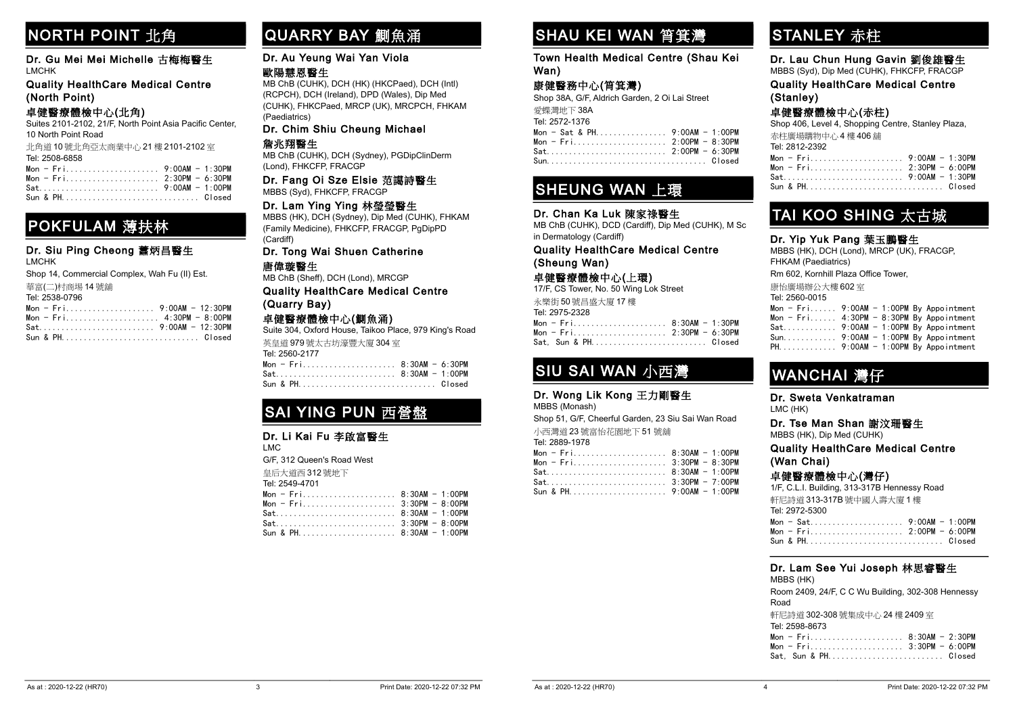# NORTH POINT 北角

Dr. Gu Mei Mei Michelle 古梅梅醫生 LMCHK

Quality HealthCare Medical Centre (North Point)

#### 卓健醫療體檢中心(北角)

Suites 2101-2102, 21/F, North Point Asia Pacific Center, 10 North Point Road

| 北角道 10 號北角亞太商業中心 21 樓 2101-2102 室 |  |
|-----------------------------------|--|
| Tel: 2508-6858                    |  |
|                                   |  |
|                                   |  |
|                                   |  |

|  |  |  |  |  |  |  |  |  |  | $Mon = Fri1, , , , , , Z:3UPM = 0:3UPM$ |
|--|--|--|--|--|--|--|--|--|--|-----------------------------------------|
|  |  |  |  |  |  |  |  |  |  |                                         |
|  |  |  |  |  |  |  |  |  |  | Sun & PHClosed                          |

### POKFULAM 薄扶林

#### Dr. Siu Ping Cheong 蕭炳昌醫生 LMCHK

Shop 14, Commercial Complex, Wah Fu (II) Est.

華富(二)村商埸 14 號舖

#### Tel: 2538-0796

### QUARRY BAY 鰂魚涌

#### Dr. Au Yeung Wai Yan Viola

#### 歐陽慧恩醫生

MB ChB (CUHK), DCH (HK) (HKCPaed), DCH (Intl) (RCPCH), DCH (Ireland), DPD (Wales), Dip Med (CUHK), FHKCPaed, MRCP (UK), MRCPCH, FHKAM (Paediatrics)

#### Dr. Chim Shiu Cheung Michael

#### 詹兆翔醫生

MB ChB (CUHK), DCH (Sydney), PGDipClinDerm (Lond), FHKCFP, FRACGP

#### Dr. Fang Oi Sze Elsie 范譪詩醫生 MBBS (Syd), FHKCFP, FRACGP

#### Dr. Lam Ying Ying 林瑩瑩醫生

MBBS (HK), DCH (Sydney), Dip Med (CUHK), FHKAM (Family Medicine), FHKCFP, FRACGP, PgDipPD (Cardiff)

#### Dr. Tong Wai Shuen Catherine 唐偉璇醫生

MB ChB (Sheff), DCH (Lond), MRCGP

Quality HealthCare Medical Centre (Quarry Bay)

#### 卓健醫療體檢中心(鰂魚涌)

Suite 304, Oxford House, Taikoo Place, 979 King's Road 英皇道 979 號太古坊濠豐大廈 304 室

| Tel: 2560-2177 |  |
|----------------|--|
|                |  |
|                |  |
|                |  |

# SAI YING PUN 西營盤

#### Dr. Li Kai Fu 李啟富醫生

LMC

G/F, 312 Queen's Road West

皇后大道西 312 號地下

Tel: 2549-4701

| Mon - $Fri$ 8:30AM - 1:00PM |  |
|-----------------------------|--|
|                             |  |
|                             |  |
|                             |  |
|                             |  |

# SHAU KEI WAN 筲箕灣

#### Town Health Medical Centre (Shau Kei Wan)

### 康健醫務中心(筲箕灣)

Shop 38A, G/F, Aldrich Garden, 2 Oi Lai Street 愛集

|  | 发''踩,湾地下 38A      |  |  |  |  |  |  |
|--|-------------------|--|--|--|--|--|--|
|  | Tel: 2572-1376    |  |  |  |  |  |  |
|  | $Mon - Sat & PH.$ |  |  |  |  |  |  |

|  |  |  | Mon - Sat & PH 9:00AM - 1:00PM |
|--|--|--|--------------------------------|
|  |  |  | Mon - Fri 2:00PM - 8:30PM      |
|  |  |  |                                |
|  |  |  |                                |

### SHEUNG WAN 上環

#### Dr. Chan Ka Luk 陳家祿醫生

MB ChB (CUHK), DCD (Cardiff), Dip Med (CUHK), M Sc in Dermatology (Cardiff)

#### Quality HealthCare Medical Centre (Sheung Wan)

#### 卓健醫療體檢中心(上環)

17/F, CS Tower, No. 50 Wing Lok Street

| 永樂街50號昌盛大廈17樓             |  |
|---------------------------|--|
| Tel: 2975-2328            |  |
| Mon - Fri 8:30AM - 1:30PM |  |
| Mon - Fri 2:30PM - 6:30PM |  |
| Sat. Sun & PH Closed      |  |

### SIU SAI WAN 小西灣

#### Dr. Wong Lik Kong 王力剛醫生

MBBS (Monash)

Shop 51, G/F, Cheerful Garden, 23 Siu Sai Wan Road 小西灣道 23 號富怡花園地下 51 號舖

| Tel: 2889-1978              |  |
|-----------------------------|--|
| Mon - $Fri$ 8:30AM - 1:00PM |  |
|                             |  |
|                             |  |
| $Sat$ $3:30PM - 7:00PM$     |  |
|                             |  |

# STANLEY 赤柱

Dr. Lau Chun Hung Gavin 劉俊雄醫生 MBBS (Syd), Dip Med (CUHK), FHKCFP, FRACGP

Quality HealthCare Medical Centre (Stanley)

卓健醫療體檢中心(赤柱)

Shop 406, Level 4, Shopping Centre, Stanley Plaza, 赤柱廣場購物中心 4 樓 406 舖

| - 小忙 度 场 弾 竹 干 小 牛 俘 牛 UU 甜 |  |
|-----------------------------|--|
| Tel: 2812-2392              |  |
|                             |  |
|                             |  |
|                             |  |
|                             |  |

### TAI KOO SHING 太古城

#### Dr. Yip Yuk Pang 葉玉鵬醫生

MBBS (HK), DCH (Lond), MRCP (UK), FRACGP, FHKAM (Paediatrics) Rm 602, Kornhill Plaza Office Tower, 康怡廣場辦公大樓 602 室 Tel: 2560-0015 Mon -  $Fri$ ...... 9:00AM - 1:00PM By Appointment Mon -  $Fri...$ .... 4:30PM - 8:30PM By Appointment

| $Sat.$ 9:00AM - 1:00PM By Appointment |  |  |  |
|---------------------------------------|--|--|--|
| Sun $9:00$ AM - 1:00PM By Appointment |  |  |  |
| $PH$ 9:00AM - 1:00PM By Appointment   |  |  |  |
|                                       |  |  |  |

# WANCHAI 灣仔

### Dr. Sweta Venkatraman

LMC (HK)

#### Dr. Tse Man Shan 謝汶珊醫生 MBBS (HK), Dip Med (CUHK)

Quality HealthCare Medical Centre (Wan Chai)

#### 卓健醫療體檢中心(灣仔)

1/F, C.L.I. Building, 313-317B Hennessy Road

| 軒尼詩道 313-317B 號中國人壽大廈 1 樓 |  |  |
|---------------------------|--|--|
| Tel: 2972-5300            |  |  |
|                           |  |  |
|                           |  |  |
|                           |  |  |

#### Dr. Lam See Yui Joseph 林思睿醫生 MBBS (HK)

Room 2409, 24/F, C C Wu Building, 302-308 Hennessy Road 軒尼詩道 302-308 號集成中心 24 樓 2409 室

| Tel: 2598-8673       |  |
|----------------------|--|
|                      |  |
|                      |  |
| Sat, Sun & PH Closed |  |

| Tel: 2889-1978          |  |
|-------------------------|--|
| Mon - Fri 8:30AM - 1:00 |  |
| Mon - Fri 3:30PM - 8:30 |  |
|                         |  |
|                         |  |

| $\ldots \ldots 8:30$ AM - 1:00PM |                  |  |
|----------------------------------|------------------|--|
| 3:30PM - 8:00PM                  | $0.201M + 1.00N$ |  |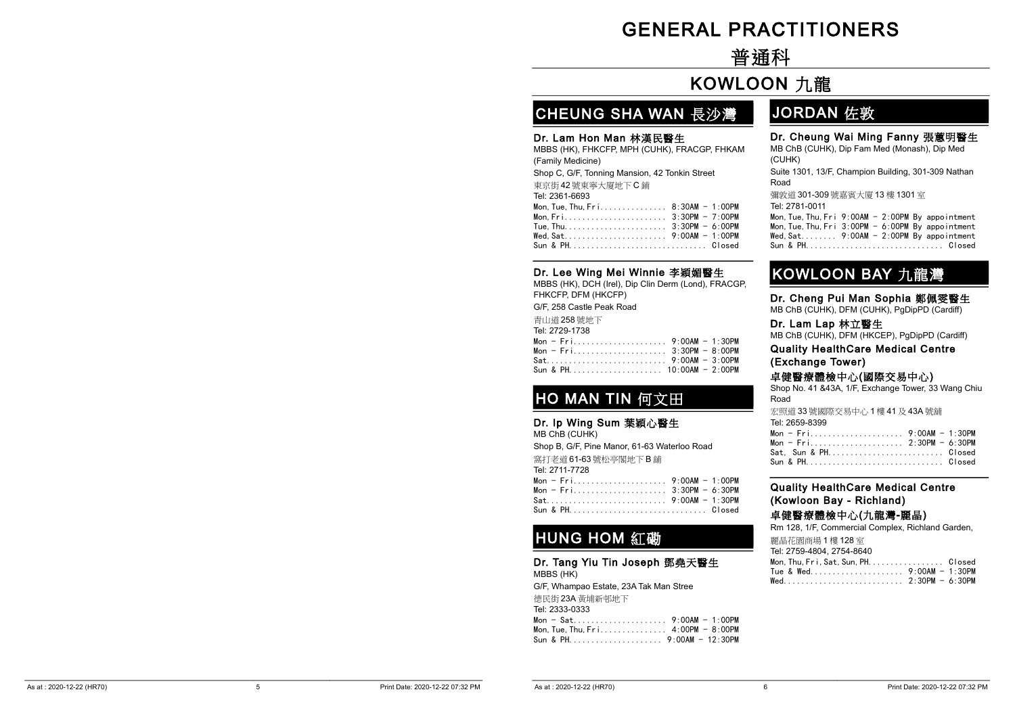# -GENERAL PRACTITIONERS

# -普通科

# -KOWLOON 九龍

# CHEUNG SHA WAN 長沙灣

#### Dr. Lam Hon Man 林漢民醫生

MBBS (HK), FHKCFP, MPH (CUHK), FRACGP, FHKAM (Family Medicine) Shop C, G/F, Tonning Mansion, 42 Tonkin Street

| 東京街 42 號東寧大廈地下 C 鋪 |  |
|--------------------|--|
| Tel: 2361-6693     |  |
|                    |  |
|                    |  |
|                    |  |
|                    |  |
| Sun & PHClosed     |  |

### Dr. Lee Wing Mei Winnie 李穎媚醫生

MBBS (HK), DCH (Irel), Dip Clin Derm (Lond), FRACGP, FHKCFP, DFM (HKCFP)

G/F, 258 Castle Peak Road

青山道 258 號地下

| Tel: 2729-1738            |  |
|---------------------------|--|
|                           |  |
| Mon - Fri 3:30PM - 8:00PM |  |
|                           |  |
|                           |  |

# HO MAN TIN 何文田

Dr. Ip Wing Sum 葉穎心醫生 MB ChB (CUHK) Shop B, G/F, Pine Manor, 61-63 Waterloo Road 窩打老道 61-63 號松亭閣地下 B 舖

|  | Tel: 2711-7728              |  |
|--|-----------------------------|--|
|  |                             |  |
|  | Mon - $Fri$ 3:30PM - 6:30PM |  |
|  |                             |  |
|  |                             |  |

# HUNG HOM 紅磡

Dr. Tang Yiu Tin Joseph 鄧堯天醫生 MBBS (HK) G/F, Whampao Estate, 23A Tak Man Stree 德民街 23A 黃埔新邨地下 Tel: 2333-0333 Mon - Sat..................... 9:00AM - 1:00PM Mon, Tue, Thu, Fri....................... 4:00PM - 8:00PM Sun & PH..................... 9:00AM - 12:30PM

### JORDAN 佐敦

#### Dr. Cheung Wai Ming Fanny 張蕙明醫生

MB ChB (CUHK), Dip Fam Med (Monash), Dip Med (CUHK) Suite 1301, 13/F, Champion Building, 301-309 Nathan Road 彌敦道 301-309 號嘉賓大廈 13 樓 1301 室 Tel: 2781-0011 Mon, Tue, Thu, Fri  $9:00$ AM -  $2:00$ PM By appointment Mon, Tue, Thu, Fri  $3:00PM - 6:00PM$  By appointment Wed,Sat........ 9:00AM - 2:00PM By appointment Sun & PH............................... Closed

### KOWLOON BAY 九龍灣

Dr. Cheng Pui Man Sophia 鄭佩雯醫生 MB ChB (CUHK), DFM (CUHK), PgDipPD (Cardiff)

Dr. Lam Lap 林立醫生

MB ChB (CUHK), DFM (HKCEP), PgDipPD (Cardiff)

Quality HealthCare Medical Centre (Exchange Tower)

#### 卓健醫療體檢中心(國際交易中心)

Shop No. 41 &43A, 1/F, Exchange Tower, 33 Wang Chiu Road

| 宏照道 33 號國際交易中心 1 樓 41 及 43A 號鋪 |  |
|--------------------------------|--|
| Tel: 2659-8399                 |  |
|                                |  |
|                                |  |
| Sat. Sun & PH Closed           |  |
|                                |  |

#### Quality HealthCare Medical Centre (Kowloon Bay - Richland)

卓健醫療體檢中心(九龍灣-麗晶)

Rm 128, 1/F, Commercial Complex, Richland Garden, 麗晶花園商場 1 樓 128 室 Tel: 2759-4804, 2754-8640

| IBI. 2109-4004, 2104-0040                         |  |
|---------------------------------------------------|--|
| Mon. Thu. $Fr$ i. Sat. Sun. PH. $\ldots$ . Closed |  |
|                                                   |  |
|                                                   |  |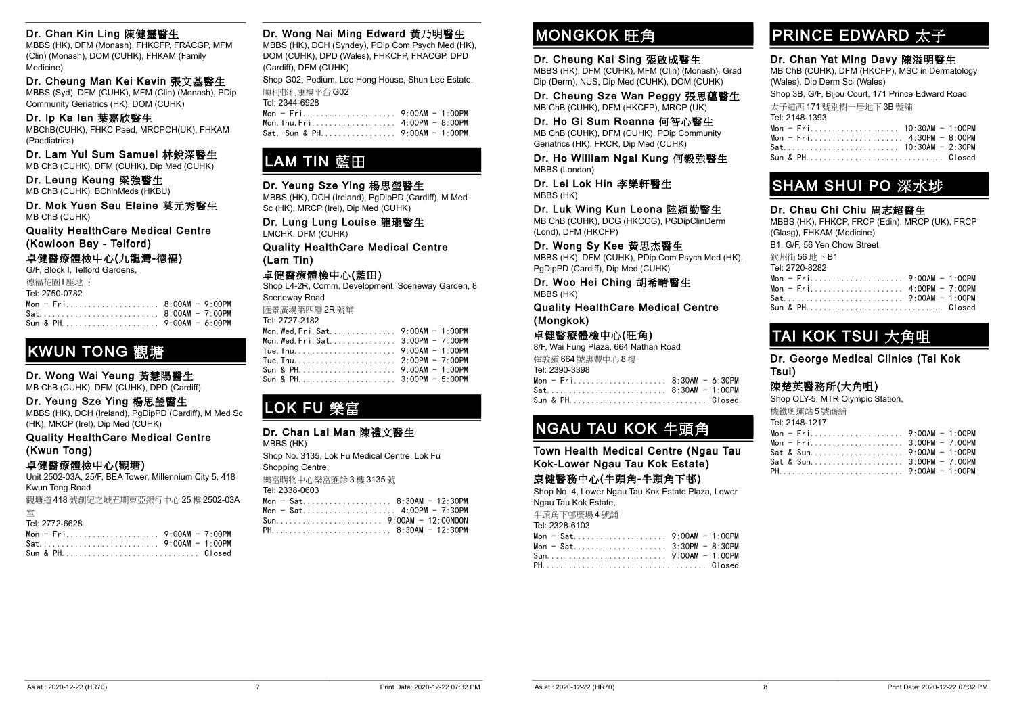#### Dr. Chan Kin Ling 陳健靈醫生

MBBS (HK), DFM (Monash), FHKCFP, FRACGP, MFM (Clin) (Monash), DOM (CUHK), FHKAM (Family Medicine)

Dr. Cheung Man Kei Kevin 張文基醫生 MBBS (Syd), DFM (CUHK), MFM (Clin) (Monash), PDip

Community Geriatrics (HK), DOM (CUHK)

#### Dr. Ip Ka Ian 葉嘉欣醫生

MBChB(CUHK), FHKC Paed, MRCPCH(UK), FHKAM (Paediatrics)

Dr. Lam Yui Sum Samuel 林銳深醫生

MB ChB (CUHK), DFM (CUHK), Dip Med (CUHK)

#### Dr. Leung Keung 梁強醫生 MB ChB (CUHK), BChinMeds (HKBU)

Dr. Mok Yuen Sau Elaine 莫元秀醫生 MB ChB (CUHK)

Quality HealthCare Medical Centre (Kowloon Bay - Telford)

#### 卓健醫療體檢中心(九龍灣-德褔)

G/F, Block I, Telford Gardens,

| 德福花園   座地下<br>Tel: 2750-0782 |  |
|------------------------------|--|
|                              |  |
|                              |  |
|                              |  |

### KWUN TONG 觀塘

#### Dr. Wong Wai Yeung 黃慧陽醫生

MB ChB (CUHK), DFM (CUHK), DPD (Cardiff)

#### Dr. Yeung Sze Ying 楊思瑩醫生

MBBS (HK), DCH (Ireland), PgDipPD (Cardiff), M Med Sc (HK), MRCP (Irel), Dip Med (CUHK)

#### Quality HealthCare Medical Centre (Kwun Tong)

卓健醫療體檢中心(觀塘)

Unit 2502-03A, 25/F, BEA Tower, Millennium City 5, 418 Kwun Tong Road

觀塘道 418 號創紀之城五期東亞銀行中心 25 樓 2502-03A

| '8<br>56/<br>., . |
|-------------------|

#### Dr. Wong Nai Ming Edward 黃乃明醫生

MBBS (HK), DCH (Syndey), PDip Com Psych Med (HK), DOM (CUHK), DPD (Wales), FHKCFP, FRACGP, DPD (Cardiff), DFM (CUHK)

Shop G02, Podium, Lee Hong House, Shun Lee Estate, 順利邨利康樓平台 G02

#### Tel: 2344-6928

| Sat. Sun & PH 9:00AM - 1:00PM |  |
|-------------------------------|--|

### LAM TIN 藍田

#### Dr. Yeung Sze Ying 楊思瑩醫生

MBBS (HK), DCH (Ireland), PgDipPD (Cardiff), M Med Sc (HK), MRCP (Irel), Dip Med (CUHK)

Dr. Lung Lung Louise 龍瓏醫生 LMCHK, DFM (CUHK)

Quality HealthCare Medical Centre (Lam Tin)

#### 卓健醫療體檢中心(藍田)

Shop L4-2R, Comm. Development, Sceneway Garden, 8 Sceneway Road

匯景廣場第四層 2R 號舖  $2727.2182$ 

| Tel: 2727-2182                     |  |
|------------------------------------|--|
|                                    |  |
| Mon, Wed, Fri, Sat 3:00PM - 7:00PM |  |
|                                    |  |
|                                    |  |
|                                    |  |
|                                    |  |

# LOK FU 樂富

#### Dr. Chan Lai Man 陳禮文醫生

MBBS (HK) Shop No. 3135, Lok Fu Medical Centre, Lok Fu Shopping Centre, 樂富購物中心樂富匯診 3 樓 3135 號 Tel: 2338-0603 Mon - Sat.................... 8:30AM - 12:30PM Mon - Sat..................... 4:00PM - 7:30PM Sun........................ 9:00AM - 12:00NOON PH........................... 8:30AM - 12:30PM

## **MONGKOK 旺角**

#### Dr. Cheung Kai Sing 張啟成醫生

MBBS (HK), DFM (CUHK), MFM (Clin) (Monash), Grad Dip (Derm), NUS, Dip Med (CUHK), DOM (CUHK)

#### Dr. Cheung Sze Wan Peggy 張思蘊醫生 MB ChB (CUHK), DFM (HKCFP), MRCP (UK)

Dr. Ho Gi Sum Roanna 何智心醫生

MB ChB (CUHK), DFM (CUHK), PDip Community Geriatrics (HK), FRCR, Dip Med (CUHK)

Dr. Ho William Ngai Kung 何毅強醫生 MBBS (London)

Dr. Lei Lok Hin 李樂軒醫生 MBBS (HK)

#### Dr. Luk Wing Kun Leona 陸穎勤醫生

MB ChB (CUHK), DCG (HKCOG), PGDipClinDerm (Lond), DFM (HKCFP)

Dr. Wong Sy Kee 黃思杰醫生 MBBS (HK), DFM (CUHK), PDip Com Psych Med (HK),

PgDipPD (Cardiff), Dip Med (CUHK)

Dr. Woo Hei Ching 胡希晴醫生 MBBS (HK)

Quality HealthCare Medical Centre (Mongkok)

#### 卓健醫療體檢中心(旺角)

| 8/F, Wai Fung Plaza, 664 Nathan Road |  |
|--------------------------------------|--|
| 彌敦道 664號惠豐中心8樓                       |  |
| Tel: 2390-3398                       |  |
| Mon - Fri 8:30AM - 6:30PM            |  |
| Sat 8:30AM - 1:00PM                  |  |
| Sun & PH Closed                      |  |

### NGAU TAU KOK 牛頭角

Town Health Medical Centre (Ngau Tau Kok-Lower Ngau Tau Kok Estate)

#### 康健醫務中心(牛頭角-牛頭角下邨)

Shop No. 4, Lower Ngau Tau Kok Estate Plaza, Lower Ngau Tau Kok Estate,

牛頭角下邨廣場 4 號舖 Tel: 2328-6103

| Tel: 2328-6103            |  |
|---------------------------|--|
|                           |  |
| Mon - Sat 3:30PM - 8:30PM |  |
|                           |  |
|                           |  |

### PRINCE EDWARD 太子

#### Dr. Chan Yat Ming Davy 陳溢明醫生

MB ChB (CUHK), DFM (HKCFP), MSC in Dermatology (Wales), Dip Derm Sci (Wales)

Shop 3B, G/F, Bijou Court, 171 Prince Edward Road 太子道西 171 號別樹一居地下 3B 號舖 Tel: 2148-1393 Mon - Fri.................... 10:30AM - 1:00PM Mon - Fri..................... 4:30PM - 8:00PM Sat.......................... 10:30AM - 2:30PM

Sun & PH............................... Closed

### SHAM SHUI PO 深水埗

#### Dr. Chau Chi Chiu 周志超醫生

MBBS (HK), FHKCP, FRCP (Edin), MRCP (UK), FRCP (Glasg), FHKAM (Medicine) B1, G/F, 56 Yen Chow Street 欽州街 56 地下 B1 Tel: 2720-8282 Mon - Fri..................... 9:00AM - 1:00PM Mon - Fri..................... 4:00PM - 7:00PM Sat........................... 9:00AM - 1:00PM Sun & PH............................... Closed

### TAI KOK TSUI 大角咀

Dr. George Medical Clinics (Tai Kok Tsui)

#### 陳楚英醫務所(大角咀)

Shop OLY-5, MTR Olympic Station,

|  |  |  |  |  | 機鐵奧運站5號商舖 |
|--|--|--|--|--|-----------|
|  |  |  |  |  |           |

| Tel: 2148-1217            |  |
|---------------------------|--|
|                           |  |
|                           |  |
|                           |  |
| Sat & Sun 3:00PM - 7:00PM |  |
|                           |  |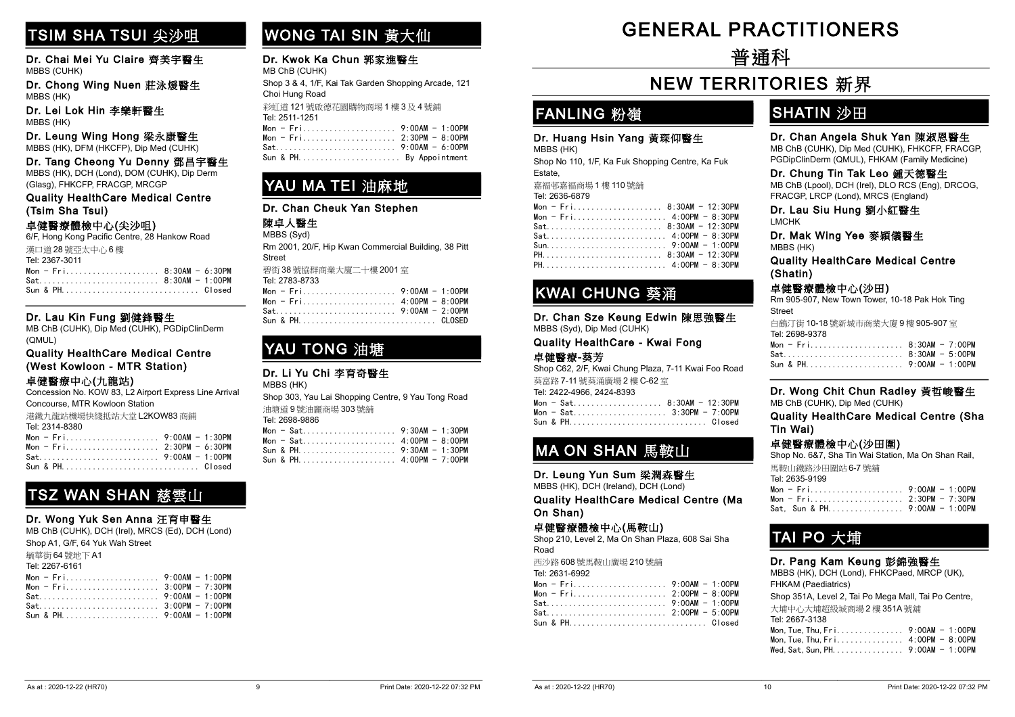# TSIM SHA TSUI 尖沙咀

Dr. Chai Mei Yu Claire 齊美宇醫生 MBBS (CUHK)

Dr. Chong Wing Nuen 莊泳煖醫生 MBBS (HK)

Dr. Lei Lok Hin 李樂軒醫生 MBBS (HK)

Dr. Leung Wing Hong 梁永康醫生 MBBS (HK), DFM (HKCFP), Dip Med (CUHK)

Dr. Tang Cheong Yu Denny 鄧昌宇醫生 MBBS (HK), DCH (Lond), DOM (CUHK), Dip Derm (Glasg), FHKCFP, FRACGP, MRCGP

Quality HealthCare Medical Centre (Tsim Sha Tsui)

#### 卓健醫療體檢中心(尖沙咀)

6/F, Hong Kong Pacific Centre, 28 Hankow Road 漢口道 28 號亞太中心 6 樓 Tel: 2367-3011  $Mon - Fri..................8:30AM - 6:30PM$ Sat........................... 8:30AM - 1:00PM Sun & PH............................... Closed

#### Dr. Lau Kin Fung 劉健鋒醫生

MB ChB (CUHK), Dip Med (CUHK), PGDipClinDerm (QMUL)

Quality HealthCare Medical Centre (West Kowloon - MTR Station)

#### 卓健醫療中心(九龍站)

Concession No. KOW 83, L2 Airport Express Line Arrival Concourse, MTR Kowloon Station

| 港鐵九龍站機場快綫抵站大堂 L2KOW83 商鋪 |  |
|--------------------------|--|
| Tel: 2314-8380           |  |
|                          |  |
|                          |  |
|                          |  |
| Sun & PH Closed          |  |
|                          |  |

### TSZ WAN SHAN 慈雲山

#### Dr. Wong Yuk Sen Anna 汪育申醫生

MB ChB (CUHK), DCH (Irel), MRCS (Ed), DCH (Lond)

| Shop A1, G/F, 64 Yuk Wah Street |  |
|---------------------------------|--|
| 毓華街 64 號地下 A1                   |  |
| Tel: 2267-6161                  |  |
|                                 |  |
|                                 |  |
|                                 |  |
|                                 |  |
|                                 |  |
|                                 |  |

# WONG TAI SIN 黃大仙

#### Dr. Kwok Ka Chun 郭家進醫生 MB ChB (CUHK)

Shop 3 & 4, 1/F, Kai Tak Garden Shopping Arcade, 121 Choi Hung Road 彩虹道 121 號啟德花園購物商埸 1 樓 3 及 4 號鋪

Tel: 2511-1251 Mon - Fri..................... 9:00AM - 1:00PM  $2.30PM - 8.00PM$ 

| $\texttt{Mon} = \texttt{Fri}, \dots, \dots, \dots, \dots, \dots, Z$ :30PM = 8:00PM |  |
|------------------------------------------------------------------------------------|--|
|                                                                                    |  |
| Sun & PH By Appointment                                                            |  |

### YAU MA TEI 油麻地

#### Dr. Chan Cheuk Yan Stephen

#### 陳卓人醫生 MBBS (Syd)

Rm 2001, 20/F, Hip Kwan Commercial Building, 38 Pitt Street 前街 20 時执戦金券十度二十連 2004 空

| $\frac{1}{2}$ $\frac{1}{2}$ $\frac{1}{2}$ $\frac{1}{2}$ $\frac{1}{2}$ $\frac{1}{2}$ $\frac{1}{2}$ $\frac{1}{2}$ $\frac{1}{2}$ $\frac{1}{2}$ $\frac{1}{2}$ $\frac{1}{2}$ $\frac{1}{2}$ $\frac{1}{2}$ $\frac{1}{2}$ $\frac{1}{2}$ $\frac{1}{2}$ $\frac{1}{2}$ $\frac{1}{2}$ $\frac{1}{2}$ $\frac{1}{2}$ $\frac{1}{2}$ |  |
|---------------------------------------------------------------------------------------------------------------------------------------------------------------------------------------------------------------------------------------------------------------------------------------------------------------------|--|
| Tel: 2783-8733                                                                                                                                                                                                                                                                                                      |  |
|                                                                                                                                                                                                                                                                                                                     |  |
|                                                                                                                                                                                                                                                                                                                     |  |
|                                                                                                                                                                                                                                                                                                                     |  |
|                                                                                                                                                                                                                                                                                                                     |  |

### YAU TONG 油塘

#### Dr. Li Yu Chi 李育奇醫生

MBBS (HK) Shop 303, Yau Lai Shopping Centre, 9 Yau Tong Road 油塘道 9 號油麗商場 303 號舖 Tel: 2698-9886

| Mon - Sat 4:00PM - 8:00PM |  |
|---------------------------|--|
|                           |  |
|                           |  |

# -GENERAL PRACTITIONERS

-普通科

# **NEW TERRITORIES 新界**

### FANLING 粉嶺

#### Dr. Huang Hsin Yang 黃琛仰醫生

MBBS (HK)

Shop No 110, 1/F, Ka Fuk Shopping Centre, Ka Fuk Estate,

嘉褔邨嘉褔商場 1 樓 110 號舖

|  | Tel: 2636-6879 |  |
|--|----------------|--|
|--|----------------|--|

|  |  |  |  |  |  |  |  |  |  |  |  | Mon - Fri 8:30AM - 12:30PM |
|--|--|--|--|--|--|--|--|--|--|--|--|----------------------------|
|  |  |  |  |  |  |  |  |  |  |  |  | Mon - Fri 4:00PM - 8:30PM  |
|  |  |  |  |  |  |  |  |  |  |  |  | Sat 8:30AM - 12:30PM       |
|  |  |  |  |  |  |  |  |  |  |  |  |                            |
|  |  |  |  |  |  |  |  |  |  |  |  |                            |
|  |  |  |  |  |  |  |  |  |  |  |  |                            |
|  |  |  |  |  |  |  |  |  |  |  |  |                            |
|  |  |  |  |  |  |  |  |  |  |  |  |                            |

### KWAI CHUNG 葵涌

Dr. Chan Sze Keung Edwin 陳思強醫生 MBBS (Syd), Dip Med (CUHK)

Quality HealthCare - Kwai Fong 卓健醫療-葵芳

Shop C62, 2/F, Kwai Chung Plaza, 7-11 Kwai Foo Road 葵富路 7-11 號葵涌廣場 2 樓 C-62 室

| Tel: 2422-4966, 2424-8393 |  |
|---------------------------|--|
|---------------------------|--|

|  | Mon - Sat 8:30AM - 12:30PM |  |
|--|----------------------------|--|
|  | Mon - Sat 3:30PM - 7:00PM  |  |
|  | Sun & PH Closed            |  |

# MA ON SHAN 馬鞍山

Dr. Leung Yun Sum 梁潤森醫生

MBBS (HK), DCH (Ireland), DCH (Lond)

Quality HealthCare Medical Centre (Ma On Shan)

#### 卓健醫療體檢中心(馬鞍山)

Shop 210, Level 2, Ma On Shan Plaza, 608 Sai Sha Road

西沙路 608 號馬鞍山廣場 210 號舖

|  |  | Tel: 2631-6992 |  |
|--|--|----------------|--|
|--|--|----------------|--|

| 1.91.7.931.7.937.7.75     |  |
|---------------------------|--|
| Mon - Fri 9:00AM - 1:00PM |  |
| Mon - Fri 2:00PM - 8:00PM |  |
| Sat 9:00AM - 1:00PM       |  |
| Sat 2:00PM - 5:00PM       |  |
| Sun & PH Closed           |  |
|                           |  |

### SHATIN 沙田

#### Dr. Chan Angela Shuk Yan 陳淑恩醫生

MB ChB (CUHK), Dip Med (CUHK), FHKCFP, FRACGP, PGDipClinDerm (QMUL), FHKAM (Family Medicine)

#### Dr. Chung Tin Tak Leo 鍾天德醫生

MB ChB (Lpool), DCH (Irel), DLO RCS (Eng), DRCOG, FRACGP, LRCP (Lond), MRCS (England)

Dr. Lau Siu Hung 劉小紅醫生 LMCHK

Dr. Mak Wing Yee 麥穎儀醫生

MBBS (HK)

Quality HealthCare Medical Centre (Shatin)

#### 卓健醫療體檢中心(沙田)

Rm 905-907, New Town Tower, 10-18 Pak Hok Ting Street 白鶴汀街 10-18 號新城市商業大廈 9 樓 905-907 室 Tel: 2698-9378 Mon - Fri..................... 8:30AM - 7:00PM Sat........................... 8:30AM - 5:00PM Sun & PH...................... 9:00AM - 1:00PM

#### Dr. Wong Chit Chun Radley 黃哲峻醫生 MB ChB (CUHK), Dip Med (CUHK)

Quality HealthCare Medical Centre (Sha Tin Wai)

|  | Sat. Sun & PH 9:00AM - 1:00PM |  |
|--|-------------------------------|--|
|  |                               |  |

### TAI PO 大埔

#### Dr. Pang Kam Keung 彭錦強醫生

MBBS (HK), DCH (Lond), FHKCPaed, MRCP (UK), FHKAM (Paediatrics) Shop 351A, Level 2, Tai Po Mega Mall, Tai Po Centre,

大埔中心大埔超級城商場 2 樓 351A 號舖 Tel: 2667-3138 Mon,Tue,Thu,Fri............... 9:00AM - 1:00PM Mon,Tue,Thu,Fri............... 4:00PM - 8:00PM Wed. Sat. Sun, PH. . . . . . . . . . . . . . . 9:00AM - 1:00PM

| 卓健醫療體檢中心(沙田圍)<br>Shop No. 6&7, Sha Tin Wai Station, Ma On Shan Rail, |  |
|----------------------------------------------------------------------|--|
| 馬鞍山鐵路沙田圍站 6-7號鋪<br>Tel: 2635-9199                                    |  |
|                                                                      |  |
|                                                                      |  |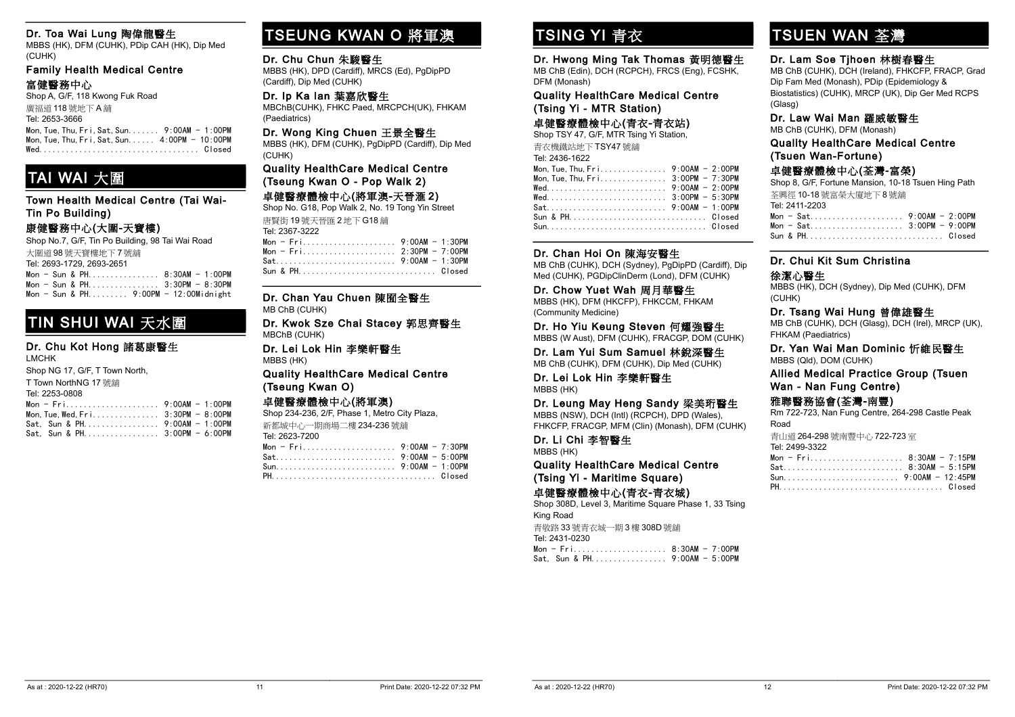#### Dr. Toa Wai Lung 陶偉龍醫生

MBBS (HK), DFM (CUHK), PDip CAH (HK), Dip Med (CUHK)

#### Family Health Medical Centre 富健醫務中心

Shop A, G/F, 118 Kwong Fuk Road

廣福道 118 號地下 A 舖 Tel: 2653-3666 Mon,Tue,Thu,Fri,Sat,Sun....... 9:00AM - 1:00PM Mon, Tue, Thu, Fri, Sat, Sun...... 4:00PM - 10:00PM Wed.................................... Closed

# TAI WAI 大圍

Town Health Medical Centre (Tai Wai-Tin Po Building)

### 康健醫務中心(大圍-天寶樓)

Shop No.7, G/F, Tin Po Building, 98 Tai Wai Road 大圍道 98 號天寶樓地下 7 號舖 Tel: 2693-1729, 2693-2651

Mon - Sun & PH................ 8:30AM - 1:00PM Mon - Sun & PH................ 3:30PM - 8:30PM Mon - Sun & PH......... 9:00PM - 12:00Midnight

### TIN SHUI WAI 天水圍

#### Dr. Chu Kot Hong 諸葛康醫生 LMCHK

| <b>LIVILITY</b>                 |  |
|---------------------------------|--|
| Shop NG 17, G/F, T Town North,  |  |
| T Town NorthNG 17 號鋪            |  |
| Tel: 2253-0808                  |  |
|                                 |  |
|                                 |  |
| Sat. Sun & PH.  9:00AM - 1:00PM |  |
| Sat. Sun & PH 3:00PM - 6:00PM   |  |

# TSEUNG KWAN O 將軍澳

#### Dr. Chu Chun 朱駿醫生

MBBS (HK), DPD (Cardiff), MRCS (Ed), PgDipPD (Cardiff), Dip Med (CUHK)

Dr. Ip Ka Ian 葉嘉欣醫生 MBChB(CUHK), FHKC Paed, MRCPCH(UK), FHKAM (Paediatrics)

#### Dr. Wong King Chuen 王景全醫生

MBBS (HK), DFM (CUHK), PgDipPD (Cardiff), Dip Med (CUHK)

#### Quality HealthCare Medical Centre (Tseung Kwan O - Pop Walk 2)

#### 卓健醫療體檢中心(將軍澳-天晉滙 2)

Shop No. G18, Pop Walk 2, No. 19 Tong Yin Street 唐賢街 19 號天晉匯 2 地下 G18 舖 Tel: 2367-3222

| Sun & PH Closed |  |
|-----------------|--|

Dr. Chan Yau Chuen 陳囿全醫生 MB ChB (CUHK)

#### Dr. Kwok Sze Chai Stacey 郭思齊醫生 MBChB (CUHK)

Dr. Lei Lok Hin 李樂軒醫生 MBBS (HK)

#### Quality HealthCare Medical Centre (Tseung Kwan O)

#### 卓健醫療體檢中心(將軍澳)

Shop 234-236, 2/F, Phase 1, Metro City Plaza,

新都城中心一期商場二樓 234-236 號舖 Tel: 2623-7200

# TSING YI 青衣

Dr. Hwong Ming Tak Thomas 黃明德醫生 MB ChB (Edin), DCH (RCPCH), FRCS (Eng), FCSHK, DFM (Monash)

#### Quality HealthCare Medical Centre (Tsing Yi - MTR Station)

### 卓健醫療體檢中心(青衣-青衣站)

Shop TSY 47, G/F, MTR Tsing Yi Station, 青衣機鐵站地下 TSY47 號舖

| Tel: 2436-1622                                                 |  |
|----------------------------------------------------------------|--|
| Mon. Tue. Thu. $Fr_1, \ldots, \ldots, \ldots, 9:00AM - 2:00PM$ |  |
|                                                                |  |
|                                                                |  |
|                                                                |  |
|                                                                |  |
|                                                                |  |
|                                                                |  |

#### Dr. Chan Hoi On 陳海安醫生

MB ChB (CUHK), DCH (Sydney), PgDipPD (Cardiff), Dip Med (CUHK), PGDipClinDerm (Lond), DFM (CUHK)

#### Dr. Chow Yuet Wah 周月華醫生

MBBS (HK), DFM (HKCFP), FHKCCM, FHKAM (Community Medicine)

Dr. Ho Yiu Keung Steven 何耀強醫生 MBBS (W Aust), DFM (CUHK), FRACGP, DOM (CUHK)

Dr. Lam Yui Sum Samuel 林銳深醫生 MB ChB (CUHK), DFM (CUHK), Dip Med (CUHK)

Dr. Lei Lok Hin 李樂軒醫生 MBBS (HK)

#### Dr. Leung May Heng Sandy 梁美珩醫生

MBBS (NSW), DCH (Intl) (RCPCH), DPD (Wales), FHKCFP, FRACGP, MFM (Clin) (Monash), DFM (CUHK)

#### Dr. Li Chi 李智醫生

MBBS (HK)

#### Quality HealthCare Medical Centre (Tsing Yi - Maritime Square)

卓健醫療體檢中心(青衣-青衣城)

Shop 308D, Level 3, Maritime Square Phase 1, 33 Tsing King Road 青敬路 33 號青衣城一期 3 樓 308D 號舖 Tel: 2431-0230 Mon - Fri..................... 8:30AM - 7:00PM Sat, Sun & PH................. 9:00AM - 5:00PM

# TSUEN WAN 荃灣

#### Dr. Lam Soe Tjhoen 林樹春醫生

MB ChB (CUHK), DCH (Ireland), FHKCFP, FRACP, Grad Dip Fam Med (Monash), PDip (Epidemiology & Biostatistics) (CUHK), MRCP (UK), Dip Ger Med RCPS (Glasg)

#### Dr. Law Wai Man 羅威敏醫生

MB ChB (CUHK), DFM (Monash)

Quality HealthCare Medical Centre (Tsuen Wan-Fortune)

#### 卓健醫療體檢中心(荃灣-富榮)

Shop 8, G/F, Fortune Mansion, 10-18 Tsuen Hing Path 荃興徑 10-18 號富榮大廈地下 8 號舖 Tel: 2411-2203 Mon - Sat..................... 9:00AM - 2:00PM Mon - Sat..................... 3:00PM - 9:00PM Sun & PH............................... Closed

### Dr. Chui Kit Sum Christina

#### 徐潔心醫生

MBBS (HK), DCH (Sydney), Dip Med (CUHK), DFM (CUHK)

#### Dr. Tsang Wai Hung 曾偉雄醫生

MB ChB (CUHK), DCH (Glasg), DCH (Irel), MRCP (UK), FHKAM (Paediatrics)

#### Dr. Yan Wai Man Dominic 忻維民醫生 MBBS (Qld), DOM (CUHK)

Allied Medical Practice Group (Tsuen Wan - Nan Fung Centre)

#### 雅聯醫務協會(荃灣-南豐)

Rm 722-723, Nan Fung Centre, 264-298 Castle Peak Road

青山道 264-298 號南豐中心 722-723 室 Tel: 2499-3322

| Mon - $Fri$ 8:30AM - 7:15PM |  |
|-----------------------------|--|
|                             |  |
|                             |  |
|                             |  |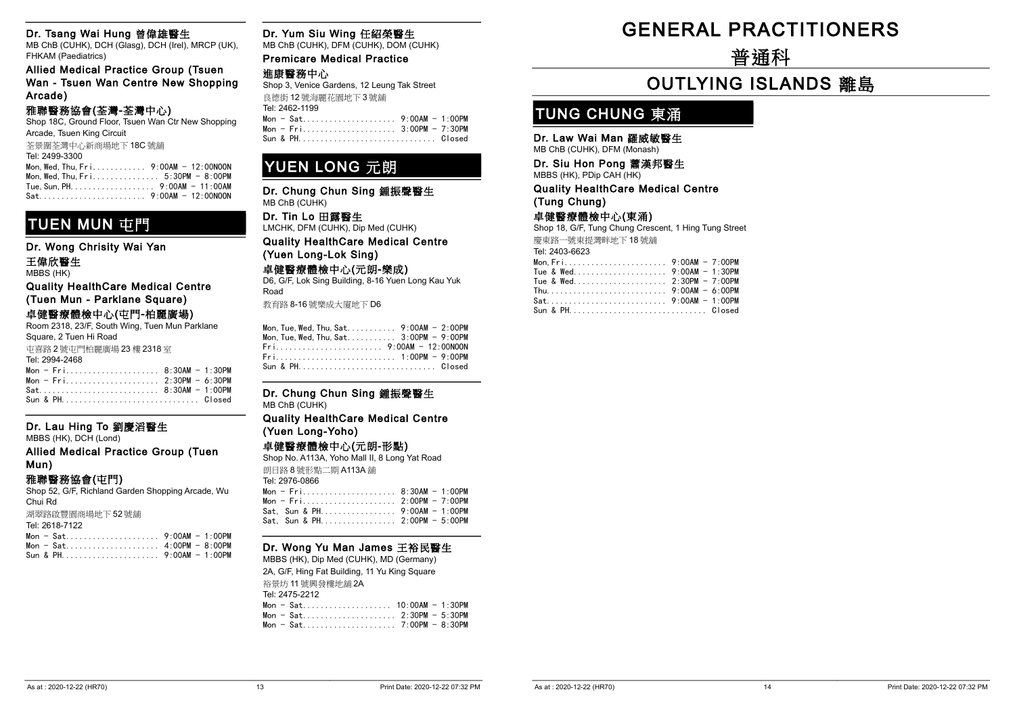#### Dr. Tsang Wai Hung 曾偉雄醫生

MB ChB (CUHK), DCH (Glasg), DCH (Irel), MRCP (UK), FHKAM (Paediatrics)

Allied Medical Practice Group (Tsuen Wan - Tsuen Wan Centre New Shopping Arcade)

#### 雅聯醫務協會(荃灣-荃灣中心)

Shop 18C, Ground Floor, Tsuen Wan Ctr New Shopping Arcade, Tsuen King Circuit

荃景圍荃灣中心新商場地下 18C 號舖

#### Tel: 2499-3300 Mon,Wed,Thu,Fri............ 9:00AM - 12:00NOON Mon,Wed,Thu,Fri............... 5:30PM - 8:00PM

Tue,Sun,PH................... 9:00AM - 11:00AM Sat........................ 9:00AM - 12:00NOON

### TUEN MUN 中門

Dr. Wong Chrisity Wai Yan

#### 王偉欣醫生

MBBS (HK)

Quality HealthCare Medical Centre (Tuen Mun - Parklane Square)

### 卓健醫療體檢中心(屯門-柏麗廣場)

Room 2318, 23/F, South Wing, Tuen Mun Parklane Square, 2 Tuen Hi Road

屯喜路 2 號屯門柏麗廣場 23 樓 2318 室

| Tel: 2994-2468            |                |
|---------------------------|----------------|
| Mon - Fri 8:30AM - 1:30PM |                |
|                           | - ----- - ---- |

| Sun & PHClosed |  |
|----------------|--|

#### Dr. Lau Hing To 劉慶滔醫生

MBBS (HK), DCH (Lond)

Allied Medical Practice Group (Tuen Mun)

#### 雅聯醫務協會(屯門)

Shop 52, G/F, Richland Garden Shopping Arcade, Wu Chui Rd

Sun & PH...................... 9:00AM - 1:00PM

湖翠路啟豐園商場地下 52 號舖 Tel: 2618-7122

| 101. ZV 1071 122 |  |
|------------------|--|
| Mon - Sat 9:00AM |  |
| Mon - Sat 4:00PM |  |

#### Dr. Yum Siu Wing 任紹榮醫生

MB ChB (CUHK), DFM (CUHK), DOM (CUHK)

Premicare Medical Practice 進康醫務中心 Shop 3, Venice Gardens, 12 Leung Tak Street

| 良德街 12號海麗花園地下3號舖 |  |  |
|------------------|--|--|
| Tel: 2462-1199   |  |  |
|                  |  |  |
| $Mon = Fri$      |  |  |

 $7:30PM$ Sun & PH............................... Closed

### YUEN LONG 元朗

Dr. Chung Chun Sing 鍾振聲醫生 MB ChB (CUHK)

Dr. Tin Lo 田露醫生 LMCHK, DFM (CUHK), Dip Med (CUHK)

Quality HealthCare Medical Centre (Yuen Long-Lok Sing)

#### 卓健醫療體檢中心(元朗-樂成)

D6, G/F, Lok Sing Building, 8-16 Yuen Long Kau Yuk Road

教育路 8-16 號樂成大廈地下 D6

| Mon. Tue. Wed. Thu. Sat 3:00PM $-9:00$ PM |  |
|-------------------------------------------|--|
|                                           |  |
|                                           |  |
|                                           |  |

#### Dr. Chung Chun Sing 鍾振聲醫生 MB ChB (CUHK)

#### Quality HealthCare Medical Centre (Yuen Long-Yoho)

#### 卓健醫療體檢中心(元朗-形點)

Shop No. A113A, Yoho Mall II, 8 Long Yat Road

朗日路 8 號形點二期 A113A 舖 Tel: 2976-0866

| 101.2010000                   |  |
|-------------------------------|--|
| Mon - Fri 8:30AM - 1:00PM     |  |
| Mon - Fri 2:00PM - 7:00PM     |  |
| Sat. Sun & PH 9:00AM - 1:00PM |  |
| Sat. Sun & PH 2:00PM - 5:00PM |  |
|                               |  |

#### Dr. Wong Yu Man James 王裕民醫生

MBBS (HK), Dip Med (CUHK), MD (Germany) 2A, G/F, Hing Fat Building, 11 Yu King Square 裕景坊 11 號興發樓地舖 2A Tel: 2475-2212 Mon - Sat.................... 10:00AM - 1:30PM Mon - Sat..................... 2:30PM - 5:30PM Mon - Sat..................... 7:00PM - 8:30PM

# -GENERAL PRACTITIONERS

-普通科

# **OUTLYING ISLANDS 離島**

### TUNG CHUNG 東涌

#### Dr. Law Wai Man 羅威敏醫生

MB ChB (CUHK), DFM (Monash)

#### Dr. Siu Hon Pong 蕭漢邦醫生 MBBS (HK), PDip CAH (HK)

Quality HealthCare Medical Centre (Tung Chung)

#### 卓健醫療體檢中心(東涌)

Shop 18, G/F, Tung Chung Crescent, 1 Hing Tung Street 慶東路一號東提灣畔地下 18 號舖 Tel: 2403-6623

| IGI. <del>ZT</del> UJ-UUZJ |                    |  |
|----------------------------|--------------------|--|
| Mon. $Fr$ i                | $9:00$ AM - 7:00PM |  |

 $-1:00PM$  $- 8:00PM$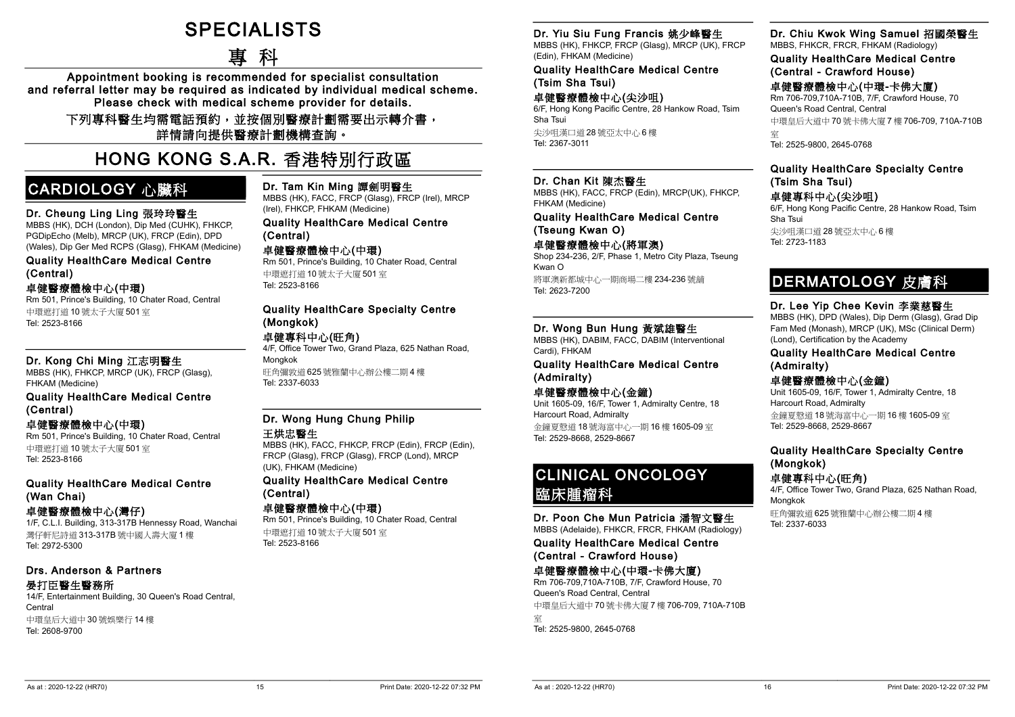# **SPECIALISTS**

-專 科

Appointment booking is recommended for specialist consultation and referral letter may be required as indicated by individual medical scheme. Please check with medical scheme provider for details.

下列專科醫生均需電話預約,並按個別醫療計劃需要出示轉介書, 詳情請向提供醫療計劃機構查詢。

# -HONG KONG S.A.R. 香港特別行政區

### CARDIOLOGY 心臟科

#### Dr. Cheung Ling Ling 張玲玲醫生

MBBS (HK), DCH (London), Dip Med (CUHK), FHKCP, PGDipEcho (Melb), MRCP (UK), FRCP (Edin), DPD (Wales), Dip Ger Med RCPS (Glasg), FHKAM (Medicine)

Quality HealthCare Medical Centre (Central)

#### 卓健醫療體檢中心(中環)

Rm 501, Prince's Building, 10 Chater Road, Central 中環遮打道 10 號太子大廈 501 室 Tel: 2523-8166

#### Dr. Kong Chi Ming 江志明醫生

MBBS (HK), FHKCP, MRCP (UK), FRCP (Glasg), FHKAM (Medicine)

#### Quality HealthCare Medical Centre (Central)

卓健醫療體檢中心(中環)

Rm 501, Prince's Building, 10 Chater Road, Central 中環遮打道 10 號太子大廈 501 室 Tel: 2523-8166

#### Quality HealthCare Medical Centre (Wan Chai)

#### 卓健醫療體檢中心(灣仔)

1/F, C.L.I. Building, 313-317B Hennessy Road, Wanchai 灣仔軒尼詩道 313-317B 號中國人壽大廈 1 樓 Tel: 2972-5300

#### Drs. Anderson & Partners 晏打臣醫生醫務所

14/F, Entertainment Building, 30 Queen's Road Central, **Central** 中環皇后大道中 30 號娛樂行 14 樓 Tel: 2608-9700

Dr. Tam Kin Ming 譚劍明醫生

MBBS (HK), FACC, FRCP (Glasg), FRCP (Irel), MRCP (Irel), FHKCP, FHKAM (Medicine)

#### Quality HealthCare Medical Centre (Central)

卓健醫療體檢中心(中環)

Rm 501, Prince's Building, 10 Chater Road, Central 中環遮打道 10 號太子大廈 501 室 Tel: 2523-8166

#### Quality HealthCare Specialty Centre (Mongkok)

### 卓健專科中心(旺角)

4/F, Office Tower Two, Grand Plaza, 625 Nathan Road, Mongkok 旺角彌敦道 625 號雅蘭中心辦公樓二期 4 樓

#### Dr. Wong Hung Chung Philip

#### 王烘忠醫生

Tel: 2337-6033

MBBS (HK), FACC, FHKCP, FRCP (Edin), FRCP (Edin), FRCP (Glasg), FRCP (Glasg), FRCP (Lond), MRCP (UK), FHKAM (Medicine)

#### Quality HealthCare Medical Centre (Central)

#### 卓健醫療體檢中心(中環)

Rm 501, Prince's Building, 10 Chater Road, Central 中環遮打道 10 號太子大廈 501 室 Tel: 2523-8166

#### Dr. Yiu Siu Fung Francis 姚少峰醫生

MBBS (HK), FHKCP, FRCP (Glasg), MRCP (UK), FRCP (Edin), FHKAM (Medicine)

Quality HealthCare Medical Centre (Tsim Sha Tsui)

#### 卓健醫療體檢中心(尖沙咀) 6/F, Hong Kong Pacific Centre, 28 Hankow Road, Tsim Sha Tsui

尖沙咀漢口道 28 號亞太中心 6 樓 Tel: 2367-3011

#### Dr. Chan Kit 陳杰醫生

MBBS (HK), FACC, FRCP (Edin), MRCP(UK), FHKCP, FHKAM (Medicine)

Quality HealthCare Medical Centre (Tseung Kwan O)

#### 卓健醫療體檢中心(將軍澳)

Shop 234-236, 2/F, Phase 1, Metro City Plaza, Tseung Kwan O 將軍澳新都城中心一期商場二樓 234-236 號舖 Tel: 2623-7200

#### Dr. Wong Bun Hung 黃斌雄醫生

MBBS (HK), DABIM, FACC, DABIM (Interventional Cardi), FHKAM

#### Quality HealthCare Medical Centre (Admiralty)

### 卓健醫療體檢中心(金鐘)

Unit 1605-09, 16/F, Tower 1, Admiralty Centre, 18 Harcourt Road, Admiralty 金鐘夏慤道 18 號海富中心一期 16 樓 1605-09 室 Tel: 2529-8668, 2529-8667

### CLINICAL ONCOLOGY 臨床腫瘤科

Dr. Poon Che Mun Patricia 潘智文醫生 MBBS (Adelaide), FHKCR, FRCR, FHKAM (Radiology)

Quality HealthCare Medical Centre (Central - Crawford House)

#### 卓健醫療體檢中心(中環-卡佛大廈)

Rm 706-709,710A-710B, 7/F, Crawford House, 70 Queen's Road Central, Central 中環皇后大道中 70 號卡佛大廈 7 樓 706-709, 710A-710B 室 Tel: 2525-9800, 2645-0768

#### Dr. Chiu Kwok Wing Samuel 招國榮醫生

MBBS, FHKCR, FRCR, FHKAM (Radiology)

Quality HealthCare Medical Centre (Central - Crawford House)

卓健醫療體檢中心(中環-卡佛大廈) Rm 706-709,710A-710B, 7/F, Crawford House, 70 Queen's Road Central, Central 中環皇后大道中 70 號卡佛大廈 7 樓 706-709, 710A-710B 室

Tel: 2525-9800, 2645-0768

### Quality HealthCare Specialty Centre (Tsim Sha Tsui)

卓健專科中心(尖沙咀) 6/F, Hong Kong Pacific Centre, 28 Hankow Road, Tsim Sha Tsui 尖沙咀漢口道 28 號亞太中心 6 樓 Tel: 2723-1183

### DERMATOLOGY 皮膚科

#### Dr. Lee Yip Chee Kevin 李業慈醫生

MBBS (HK), DPD (Wales), Dip Derm (Glasg), Grad Dip Fam Med (Monash), MRCP (UK), MSc (Clinical Derm) (Lond), Certification by the Academy

Quality HealthCare Medical Centre (Admiralty)

#### 卓健醫療體檢中心(金鐘)

Unit 1605-09, 16/F, Tower 1, Admiralty Centre, 18 Harcourt Road, Admiralty

金鐘夏慤道 18 號海富中心一期 16 樓 1605-09 室 Tel: 2529-8668, 2529-8667

### Quality HealthCare Specialty Centre (Mongkok)

卓健專科中心(旺角)

4/F, Office Tower Two, Grand Plaza, 625 Nathan Road, Mongkok

旺角彌敦道 625 號雅蘭中心辦公樓二期 4 樓 Tel: 2337-6033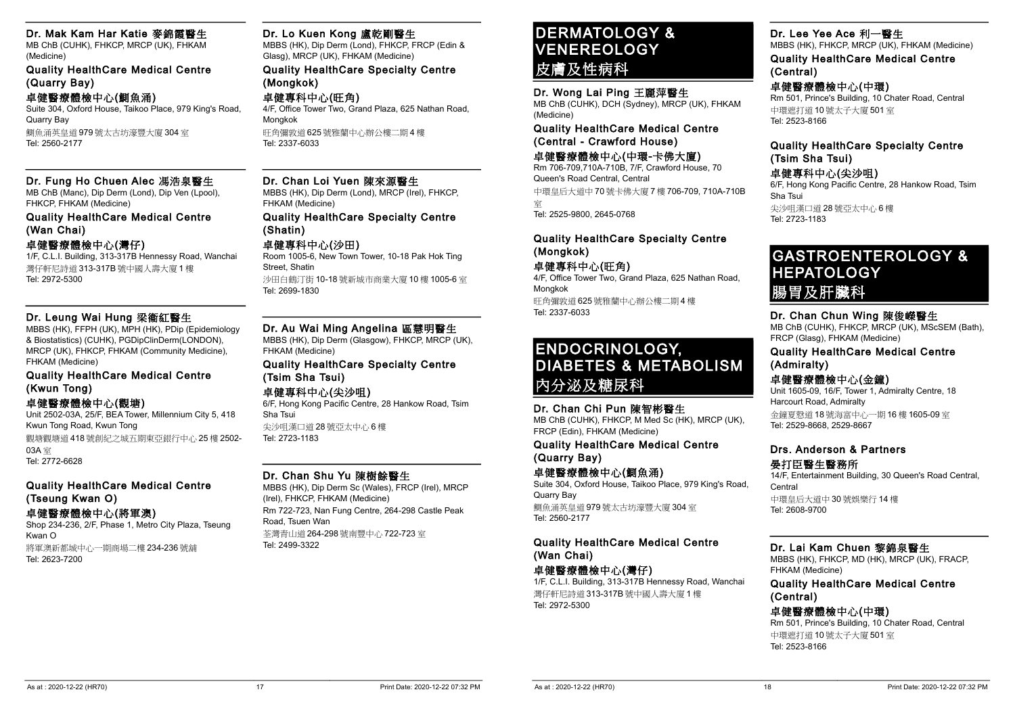#### Dr. Mak Kam Har Katie 麥錦霞醫生

MB ChB (CUHK), FHKCP, MRCP (UK), FHKAM (Medicine)

Quality HealthCare Medical Centre (Quarry Bay)

#### 卓健醫療體檢中心(鰂魚涌)

Suite 304, Oxford House, Taikoo Place, 979 King's Road, Quarry Bay 鰂魚涌英皇道 979 號太古坊濠豐大廈 304 室 Tel: 2560-2177

#### Dr. Fung Ho Chuen Alec 馮浩泉醫生

MB ChB (Manc), Dip Derm (Lond), Dip Ven (Lpool), FHKCP, FHKAM (Medicine)

#### Quality HealthCare Medical Centre (Wan Chai)

#### 卓健醫療體檢中心(灣仔)

1/F, C.L.I. Building, 313-317B Hennessy Road, Wanchai 灣仔軒尼詩道 313-317B 號中國人壽大廈 1 樓 Tel: 2972-5300

#### Dr. Leung Wai Hung 梁衞紅醫生

MBBS (HK), FFPH (UK), MPH (HK), PDip (Epidemiology & Biostatistics) (CUHK), PGDipClinDerm(LONDON), MRCP (UK), FHKCP, FHKAM (Community Medicine), FHKAM (Medicine)

#### Quality HealthCare Medical Centre (Kwun Tong)

#### 卓健醫療體檢中心(觀塘)

Unit 2502-03A, 25/F, BEA Tower, Millennium City 5, 418 Kwun Tong Road, Kwun Tong 觀塘觀塘道 418 號創紀之城五期東亞銀行中心 25 樓 2502- 03A 室 Tel: 2772-6628

#### Quality HealthCare Medical Centre (Tseung Kwan O)

#### 卓健醫療體檢中心(將軍澳)

Shop 234-236, 2/F, Phase 1, Metro City Plaza, Tseung Kwan O 將軍澳新都城中心一期商場二樓 234-236 號舖 Tel: 2623-7200

#### Dr. Lo Kuen Kong 盧乾剛醫生

MBBS (HK), Dip Derm (Lond), FHKCP, FRCP (Edin & Glasg), MRCP (UK), FHKAM (Medicine)

#### Quality HealthCare Specialty Centre (Mongkok)

#### 卓健專科中心(旺角) 4/F, Office Tower Two, Grand Plaza, 625 Nathan Road,

Mongkok 旺角彌敦道 625 號雅蘭中心辦公樓二期 4 樓 Tel: 2337-6033

#### Dr. Chan Loi Yuen 陳來源醫生

MBBS (HK), Dip Derm (Lond), MRCP (Irel), FHKCP, FHKAM (Medicine)

#### Quality HealthCare Specialty Centre (Shatin)

### 卓健專科中心(沙田)

Room 1005-6, New Town Tower, 10-18 Pak Hok Ting Street, Shatin 沙田白鶴汀街 10-18 號新城市商業大廈 10 樓 1005-6 室 Tel: 2699-1830

#### Dr. Au Wai Ming Angelina 區慧明醫生

MBBS (HK), Dip Derm (Glasgow), FHKCP, MRCP (UK), FHKAM (Medicine)

#### Quality HealthCare Specialty Centre (Tsim Sha Tsui)

卓健專科中心(尖沙咀)

6/F, Hong Kong Pacific Centre, 28 Hankow Road, Tsim Sha Tsui

尖沙咀漢口道 28 號亞太中心 6 樓 Tel: 2723-1183

#### Dr. Chan Shu Yu 陳樹餘醫生

MBBS (HK), Dip Derm Sc (Wales), FRCP (Irel), MRCP (Irel), FHKCP, FHKAM (Medicine) Rm 722-723, Nan Fung Centre, 264-298 Castle Peak Road, Tsuen Wan 荃灣青山道 264-298 號南豐中心 722-723 室 Tel: 2499-3322

### DERMATOLOGY & VENEREOLOGY 皮膚及性病科

#### Dr. Wong Lai Ping 王麗萍醫生

MB ChB (CUHK), DCH (Sydney), MRCP (UK), FHKAM (Medicine)

Quality HealthCare Medical Centre (Central - Crawford House)

#### 卓健醫療體檢中心(中環-卡佛大廈) Rm 706-709,710A-710B, 7/F, Crawford House, 70

Queen's Road Central, Central 中環皇后大道中 70 號卡佛大廈 7 樓 706-709, 710A-710B 室

Tel: 2525-9800, 2645-0768

#### Quality HealthCare Specialty Centre (Mongkok)

卓健專科中心(旺角)

4/F, Office Tower Two, Grand Plaza, 625 Nathan Road, Mongkok 旺角彌敦道 625 號雅蘭中心辦公樓二期 4 樓 Tel: 2337-6033

### ENDOCRINOLOGY, DIABETES & METABOLISM 內分泌及糖尿科

#### Dr. Chan Chi Pun 陳智彬醫生

MB ChB (CUHK), FHKCP, M Med Sc (HK), MRCP (UK), FRCP (Edin), FHKAM (Medicine)

#### Quality HealthCare Medical Centre (Quarry Bay)

卓健醫療體檢中心(鰂魚涌) Suite 304, Oxford House, Taikoo Place, 979 King's Road,

Quarry Bay 鰂魚涌英皇道 979 號太古坊濠豐大廈 304 室 Tel: 2560-2177

### Quality HealthCare Medical Centre (Wan Chai)

### 卓健醫療體檢中心(灣仔)

1/F, C.L.I. Building, 313-317B Hennessy Road, Wanchai 灣仔軒尼詩道 313-317B 號中國人壽大廈 1 樓 Tel: 2972-5300

#### Dr. Lee Yee Ace 利一醫生

MBBS (HK), FHKCP, MRCP (UK), FHKAM (Medicine)

Quality HealthCare Medical Centre (Central)

#### 卓健醫療體檢中心(中環)

Rm 501, Prince's Building, 10 Chater Road, Central 中環遮打道 10 號太子大廈 501 室 Tel: 2523-8166

#### Quality HealthCare Specialty Centre (Tsim Sha Tsui)

#### 卓健專科中心(尖沙咀)

6/F, Hong Kong Pacific Centre, 28 Hankow Road, Tsim Sha Tsui 尖沙咀漢口道 28 號亞太中心 6 樓 Tel: 2723-1183

GASTROENTEROLOGY & **HEPATOLOGY** 腸胃及肝臟科

#### Dr. Chan Chun Wing 陳俊嶸醫生

MB ChB (CUHK), FHKCP, MRCP (UK), MScSEM (Bath), FRCP (Glasg), FHKAM (Medicine)

Quality HealthCare Medical Centre (Admiralty)

#### 卓健醫療體檢中心(金鐘)

Unit 1605-09, 16/F, Tower 1, Admiralty Centre, 18 Harcourt Road, Admiralty 金鐘夏慤道 18 號海富中心一期 16 樓 1605-09 室 Tel: 2529-8668, 2529-8667

#### Drs. Anderson & Partners 晏打臣醫生醫務所

14/F, Entertainment Building, 30 Queen's Road Central, Central

中環皇后大道中 30 號娛樂行 14 樓 Tel: 2608-9700

#### Dr. Lai Kam Chuen 黎錦泉醫生

MBBS (HK), FHKCP, MD (HK), MRCP (UK), FRACP, FHKAM (Medicine)

#### Quality HealthCare Medical Centre (Central)

卓健醫療體檢中心(中環) Rm 501, Prince's Building, 10 Chater Road, Central 中環遮打道 10 號太子大廈 501 室 Tel: 2523-8166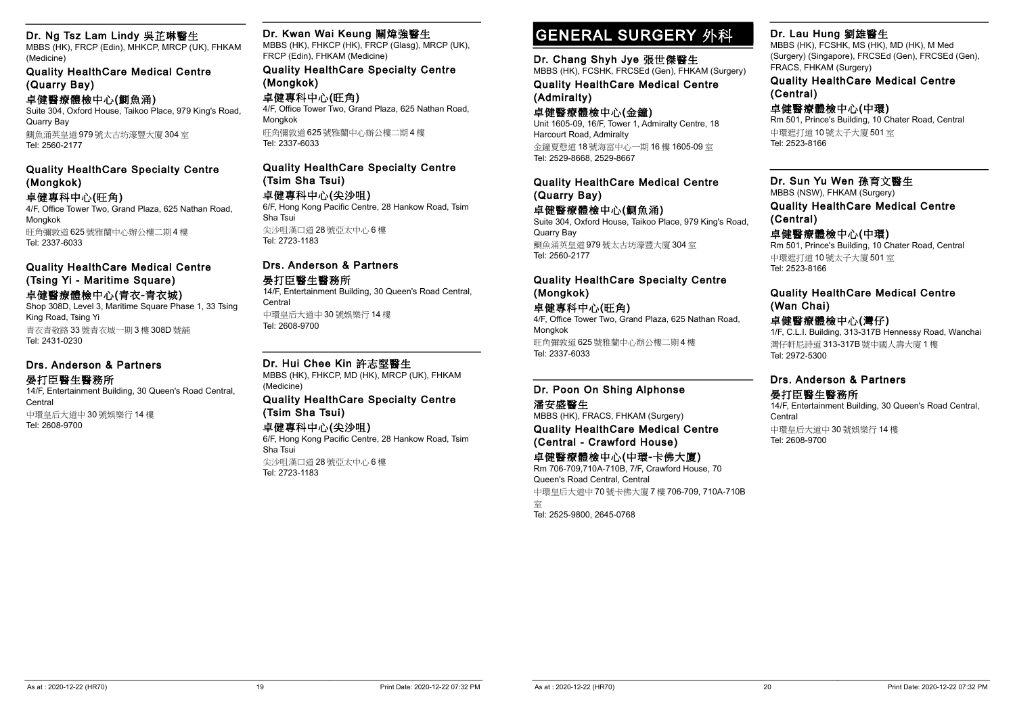#### Dr. Ng Tsz Lam Lindy 吳芷琳醫生

MBBS (HK), FRCP (Edin), MHKCP, MRCP (UK), FHKAM (Medicine)

Quality HealthCare Medical Centre (Quarry Bay)

#### 卓健醫療體檢中心(鰂魚涌)

Suite 304, Oxford House, Taikoo Place, 979 King's Road, Quarry Bay 鰂魚涌英皇道 979 號太古坊濠豐大廈 304 室

Tel: 2560-2177

#### Quality HealthCare Specialty Centre (Mongkok)

#### 卓健專科中心(旺角)

4/F, Office Tower Two, Grand Plaza, 625 Nathan Road, Mongkok 旺角彌敦道 625 號雅蘭中心辦公樓二期 4 樓

Tel: 2337-6033

#### Quality HealthCare Medical Centre (Tsing Yi - Maritime Square)

卓健醫療體檢中心(青衣-青衣城) Shop 308D, Level 3, Maritime Square Phase 1, 33 Tsing King Road, Tsing Yi 青衣青敬路 33 號青衣城一期 3 樓 308D 號舖

Tel: 2431-0230

#### Drs. Anderson & Partners 晏打臣醫生醫務所

14/F, Entertainment Building, 30 Queen's Road Central, **Central** 中環皇后大道中 30 號娛樂行 14 樓 Tel: 2608-9700

#### Dr. Kwan Wai Keung 關煒強醫生

MBBS (HK), FHKCP (HK), FRCP (Glasg), MRCP (UK), FRCP (Edin), FHKAM (Medicine)

#### Quality HealthCare Specialty Centre (Mongkok)

卓健專科中心(旺角) 4/F, Office Tower Two, Grand Plaza, 625 Nathan Road, Mongkok 旺角彌敦道 625 號雅蘭中心辦公樓二期 4 樓 Tel: 2337-6033

#### Quality HealthCare Specialty Centre (Tsim Sha Tsui)

卓健專科中心(尖沙咀)

6/F, Hong Kong Pacific Centre, 28 Hankow Road, Tsim Sha Tsui 尖沙咀漢口道 28 號亞太中心 6 樓

Tel: 2723-1183

#### Drs. Anderson & Partners

#### 晏打臣醫生醫務所

14/F, Entertainment Building, 30 Queen's Road Central, **Central** 中環皇后大道中 30 號娛樂行 14 樓 Tel: 2608-9700

#### Dr. Hui Chee Kin 許志堅醫生

MBBS (HK), FHKCP, MD (HK), MRCP (UK), FHKAM (Medicine)

#### Quality HealthCare Specialty Centre (Tsim Sha Tsui)

#### 卓健專科中心(尖沙咀)

6/F, Hong Kong Pacific Centre, 28 Hankow Road, Tsim Sha Tsui

尖沙咀漢口道 28 號亞太中心 6 樓 Tel: 2723-1183

## GENERAL SURGERY 外科

#### Dr. Chang Shyh Jye 張世傑醫生

MBBS (HK), FCSHK, FRCSEd (Gen), FHKAM (Surgery) Quality HealthCare Medical Centre (Admiralty)

#### 卓健醫療體檢中心(金鐘)

Unit 1605-09, 16/F, Tower 1, Admiralty Centre, 18 Harcourt Road, Admiralty 金鐘夏慤道 18 號海富中心一期 16 樓 1605-09 室 Tel: 2529-8668, 2529-8667

#### Quality HealthCare Medical Centre (Quarry Bay)

卓健醫療體檢中心(鰂魚涌)

Suite 304, Oxford House, Taikoo Place, 979 King's Road, Quarry Bay 鰂魚涌英皇道 979 號太古坊濠豐大廈 304 室 Tel: 2560-2177

#### Quality HealthCare Specialty Centre (Mongkok)

#### 卓健專科中心(旺角)

4/F, Office Tower Two, Grand Plaza, 625 Nathan Road, Mongkok 旺角彌敦道 625 號雅蘭中心辦公樓二期 4 樓 Tel: 2337-6033

#### Dr. Poon On Shing Alphonse 潘安盛醫生

MBBS (HK), FRACS, FHKAM (Surgery) Quality HealthCare Medical Centre (Central - Crawford House)

#### 卓健醫療體檢中心(中環-卡佛大廈)

Rm 706-709,710A-710B, 7/F, Crawford House, 70 Queen's Road Central, Central

中環皇后大道中 70 號卡佛大廈 7 樓 706-709, 710A-710B

室 Tel: 2525-9800, 2645-0768

#### Dr. Lau Hung 劉雄醫生

MBBS (HK), FCSHK, MS (HK), MD (HK), M Med (Surgery) (Singapore), FRCSEd (Gen), FRCSEd (Gen), FRACS, FHKAM (Surgery)

#### Quality HealthCare Medical Centre (Central)

#### 卓健醫療體檢中心(中環)

Rm 501, Prince's Building, 10 Chater Road, Central 中環遮打道 10 號太子大廈 501 室 Tel: 2523-8166

#### Dr. Sun Yu Wen 孫育文醫生 MBBS (NSW), FHKAM (Surgery)

Quality HealthCare Medical Centre (Central)

#### 卓健醫療體檢中心(中環)

Rm 501, Prince's Building, 10 Chater Road, Central 中環遮打道 10 號太子大廈 501 室 Tel: 2523-8166

#### Quality HealthCare Medical Centre (Wan Chai)

#### 卓健醫療體檢中心(灣仔)

1/F, C.L.I. Building, 313-317B Hennessy Road, Wanchai 灣仔軒尼詩道 313-317B 號中國人壽大廈 1 樓 Tel: 2972-5300

#### Drs. Anderson & Partners 晏打臣醫生醫務所

14/F, Entertainment Building, 30 Queen's Road Central, **Central** 中環皇后大道中 30 號娛樂行 14 樓 Tel: 2608-9700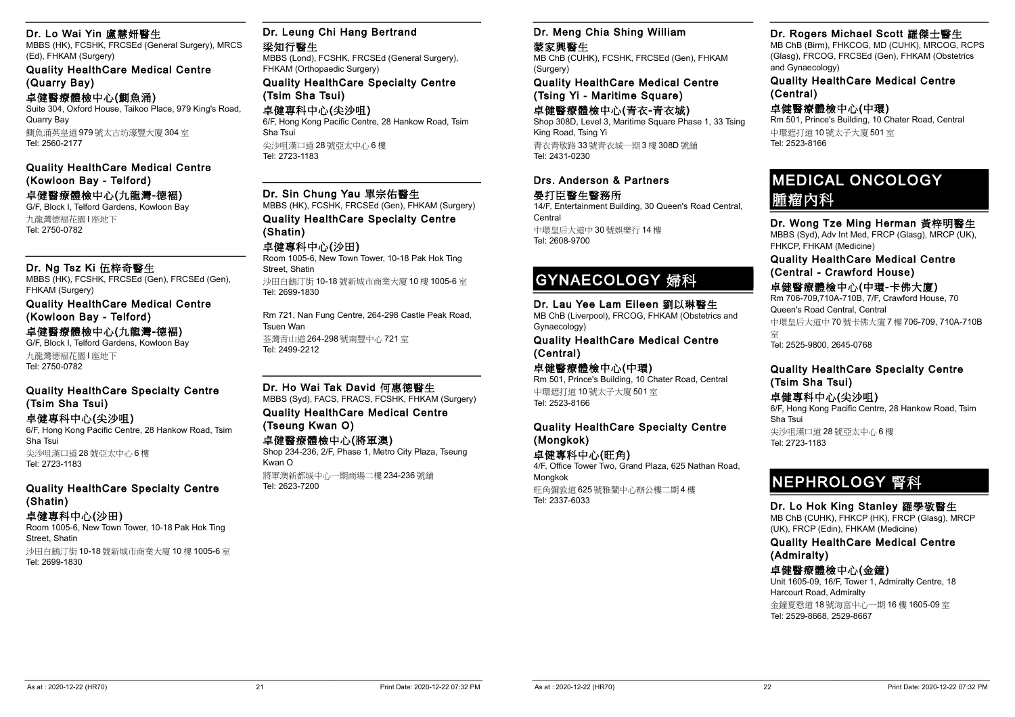#### Dr. Lo Wai Yin 盧慧妍醫生

MBBS (HK), FCSHK, FRCSEd (General Surgery), MRCS (Ed), FHKAM (Surgery)

Quality HealthCare Medical Centre (Quarry Bay)

#### 卓健醫療體檢中心(鰂魚涌)

Suite 304, Oxford House, Taikoo Place, 979 King's Road, Quarry Bay 鰂魚涌英皇道 979 號太古坊濠豐大廈 304 室 Tel: 2560-2177

Quality HealthCare Medical Centre (Kowloon Bay - Telford)

#### 卓健醫療體檢中心(九龍灣-德褔) G/F, Block I, Telford Gardens, Kowloon Bay

九龍灣德褔花園 I 座地下 Tel: 2750-0782

#### Dr. Ng Tsz Ki 伍梓奇醫生

MBBS (HK), FCSHK, FRCSEd (Gen), FRCSEd (Gen), FHKAM (Surgery)

Quality HealthCare Medical Centre (Kowloon Bay - Telford)

#### 卓健醫療體檢中心(九龍灣-德褔)

G/F, Block I, Telford Gardens, Kowloon Bay 九龍灣德褔花園 I 座地下 Tel: 2750-0782

#### Quality HealthCare Specialty Centre (Tsim Sha Tsui)

卓健專科中心(尖沙咀) 6/F, Hong Kong Pacific Centre, 28 Hankow Road, Tsim Sha Tsui 尖沙咀漢口道 28 號亞太中心 6 樓 Tel: 2723-1183

#### Quality HealthCare Specialty Centre (Shatin)

#### 卓健專科中心(沙田)

Room 1005-6, New Town Tower, 10-18 Pak Hok Ting Street, Shatin 沙田白鶴汀街 10-18 號新城市商業大廈 10 樓 1005-6 室 Tel: 2699-1830

#### Dr. Leung Chi Hang Bertrand 梁知行醫生

MBBS (Lond), FCSHK, FRCSEd (General Surgery), FHKAM (Orthopaedic Surgery) Quality HealthCare Specialty Centre (Tsim Sha Tsui)

卓健專科中心(尖沙咀) 6/F, Hong Kong Pacific Centre, 28 Hankow Road, Tsim Sha Tsui 尖沙咀漢口道 28 號亞太中心 6 樓

Tel: 2723-1183

#### Dr. Sin Chung Yau 單宗佑醫生

MBBS (HK), FCSHK, FRCSEd (Gen), FHKAM (Surgery) Quality HealthCare Specialty Centre (Shatin)

#### 卓健專科中心(沙田)

Room 1005-6, New Town Tower, 10-18 Pak Hok Ting Street, Shatin 沙田白鶴汀街 10-18 號新城市商業大廈 10 樓 1005-6 室 Tel: 2699-1830

Rm 721, Nan Fung Centre, 264-298 Castle Peak Road, Tsuen Wan 荃灣青山道 264-298 號南豐中心 721 室 Tel: 2499-2212

Dr. Ho Wai Tak David 何惠德醫生 MBBS (Syd), FACS, FRACS, FCSHK, FHKAM (Surgery) Quality HealthCare Medical Centre (Tseung Kwan O)

#### 卓健醫療體檢中心(將軍澳)

Shop 234-236, 2/F, Phase 1, Metro City Plaza, Tseung Kwan O

將軍澳新都城中心一期商場二樓 234-236 號舖 Tel: 2623-7200

#### Dr. Meng Chia Shing William 蒙家興醫生

MB ChB (CUHK), FCSHK, FRCSEd (Gen), FHKAM (Surgery)

Quality HealthCare Medical Centre (Tsing Yi - Maritime Square)

#### 卓健醫療體檢中心(青衣-青衣城)

Shop 308D, Level 3, Maritime Square Phase 1, 33 Tsing King Road, Tsing Yi 青衣青敬路 33 號青衣城一期 3 樓 308D 號舖 Tel: 2431-0230

#### Drs. Anderson & Partners 晏打臣醫生醫務所

14/F, Entertainment Building, 30 Queen's Road Central, Central 中環皇后大道中 30 號娛樂行 14 樓 Tel: 2608-9700

### GYNAECOLOGY 婦科

Dr. Lau Yee Lam Eileen 劉以琳醫生 MB ChB (Liverpool), FRCOG, FHKAM (Obstetrics and Gynaecology)

Quality HealthCare Medical Centre (Central)

卓健醫療體檢中心(中環) Rm 501, Prince's Building, 10 Chater Road, Central 中環遮打道 10 號太子大廈 501 室 Tel: 2523-8166

#### Quality HealthCare Specialty Centre (Mongkok)

卓健專科中心(旺角) 4/F, Office Tower Two, Grand Plaza, 625 Nathan Road, **Mongkok** 旺角彌敦道 625 號雅蘭中心辦公樓二期 4 樓 Tel: 2337-6033

### Dr. Rogers Michael Scott 羅傑士醫生

MB ChB (Birm), FHKCOG, MD (CUHK), MRCOG, RCPS (Glasg), FRCOG, FRCSEd (Gen), FHKAM (Obstetrics and Gynaecology)

Quality HealthCare Medical Centre (Central)

#### 卓健醫療體檢中心(中環)

Rm 501, Prince's Building, 10 Chater Road, Central 中環遮打道 10 號太子大廈 501 室 Tel: 2523-8166

## MEDICAL ONCOLOGY 腫瘤內科

Dr. Wong Tze Ming Herman 黃梓明醫生 MBBS (Syd), Adv Int Med, FRCP (Glasg), MRCP (UK), FHKCP, FHKAM (Medicine)

Quality HealthCare Medical Centre (Central - Crawford House) 卓健醫療體檢中心(中環-卡佛大廈) Rm 706-709,710A-710B, 7/F, Crawford House, 70

Queen's Road Central, Central 中環皇后大道中 70 號卡佛大廈 7 樓 706-709, 710A-710B 室 Tel: 2525-9800, 2645-0768

#### Quality HealthCare Specialty Centre (Tsim Sha Tsui)

卓健專科中心(尖沙咀) 6/F, Hong Kong Pacific Centre, 28 Hankow Road, Tsim Sha Tsui 尖沙咀漢口道 28 號亞太中心 6 樓 Tel: 2723-1183

# NEPHROLOGY 腎科

#### Dr. Lo Hok King Stanley 羅學敬醫生 MB ChB (CUHK), FHKCP (HK), FRCP (Glasg), MRCP

(UK), FRCP (Edin), FHKAM (Medicine)

Quality HealthCare Medical Centre (Admiralty)

#### 卓健醫療體檢中心(金鐘)

Unit 1605-09, 16/F, Tower 1, Admiralty Centre, 18 Harcourt Road, Admiralty

金鐘夏慤道 18 號海富中心一期 16 樓 1605-09 室 Tel: 2529-8668, 2529-8667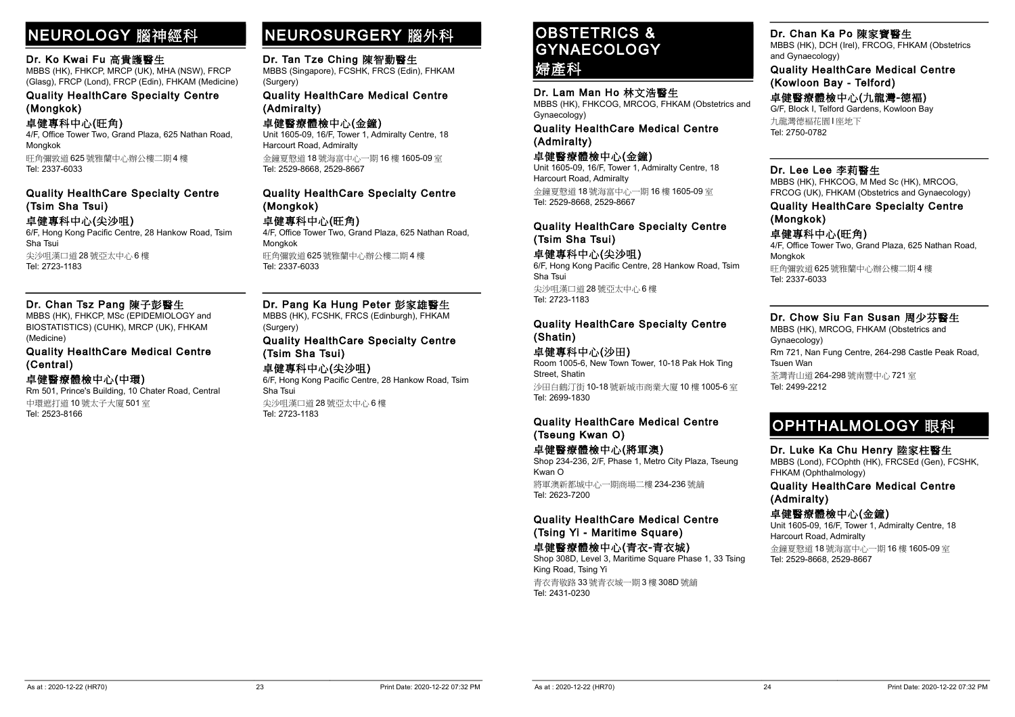# NEUROLOGY 腦神經科

#### Dr. Ko Kwai Fu 高貴護醫生

MBBS (HK), FHKCP, MRCP (UK), MHA (NSW), FRCP (Glasg), FRCP (Lond), FRCP (Edin), FHKAM (Medicine)

Quality HealthCare Specialty Centre (Mongkok)

卓健專科中心(旺角) 4/F, Office Tower Two, Grand Plaza, 625 Nathan Road, Mongkok 旺角彌敦道 625 號雅蘭中心辦公樓二期 4 樓

Tel: 2337-6033

#### Quality HealthCare Specialty Centre (Tsim Sha Tsui) 卓健專科中心(尖沙咀)

6/F, Hong Kong Pacific Centre, 28 Hankow Road, Tsim Sha Tsui 尖沙咀漢口道 28 號亞太中心 6 樓 Tel: 2723-1183

#### Dr. Chan Tsz Pang 陳子彭醫生

MBBS (HK), FHKCP, MSc (EPIDEMIOLOGY and BIOSTATISTICS) (CUHK), MRCP (UK), FHKAM (Medicine)

Quality HealthCare Medical Centre (Central)

#### 卓健醫療體檢中心(中環)

Rm 501, Prince's Building, 10 Chater Road, Central 中環遮打道 10 號太子大廈 501 室 Tel: 2523-8166

### NEUROSURGERY 腦外科

#### Dr. Tan Tze Ching 陳智勤醫生

MBBS (Singapore), FCSHK, FRCS (Edin), FHKAM (Surgery)

Quality HealthCare Medical Centre (Admiralty)

卓健醫療體檢中心(金鐘) Unit 1605-09, 16/F, Tower 1, Admiralty Centre, 18 Harcourt Road, Admiralty 金鐘夏慤道 18 號海富中心一期 16 樓 1605-09 室 Tel: 2529-8668, 2529-8667

#### Quality HealthCare Specialty Centre (Mongkok)

卓健專科中心(旺角)

4/F, Office Tower Two, Grand Plaza, 625 Nathan Road, Mongkok 旺角彌敦道 625 號雅蘭中心辦公樓二期 4 樓 Tel: 2337-6033

#### Dr. Pang Ka Hung Peter 彭家雄醫生

MBBS (HK), FCSHK, FRCS (Edinburgh), FHKAM (Surgery)

#### Quality HealthCare Specialty Centre (Tsim Sha Tsui)

#### 卓健專科中心(尖沙咀)

6/F, Hong Kong Pacific Centre, 28 Hankow Road, Tsim Sha Tsui 尖沙咀漢口道 28 號亞太中心 6 樓 Tel: 2723-1183

### OBSTETRICS & **GYNAECOLOGY** 婦產科

Dr. Lam Man Ho 林文浩醫生 MBBS (HK), FHKCOG, MRCOG, FHKAM (Obstetrics and

Gynaecology) Quality HealthCare Medical Centre

(Admiralty)

卓健醫療體檢中心(金鐘) Unit 1605-09, 16/F, Tower 1, Admiralty Centre, 18 Harcourt Road, Admiralty 金鐘夏慤道 18 號海富中心一期 16 樓 1605-09 室 Tel: 2529-8668, 2529-8667

Quality HealthCare Specialty Centre (Tsim Sha Tsui)

卓健專科中心(尖沙咀) 6/F, Hong Kong Pacific Centre, 28 Hankow Road, Tsim Sha Tsui 尖沙咀漢口道 28 號亞太中心 6 樓 Tel: 2723-1183

#### Quality HealthCare Specialty Centre (Shatin)

#### 卓健專科中心(沙田)

Room 1005-6, New Town Tower, 10-18 Pak Hok Ting Street, Shatin

沙田白鶴汀街 10-18 號新城市商業大廈 10 樓 1005-6 室 Tel: 2699-1830

#### Quality HealthCare Medical Centre (Tseung Kwan O)

卓健醫療體檢中心(將軍澳) Shop 234-236, 2/F, Phase 1, Metro City Plaza, Tseung

Kwan O 將軍澳新都城中心一期商場二樓 234-236 號舖 Tel: 2623-7200

#### Quality HealthCare Medical Centre (Tsing Yi - Maritime Square)

卓健醫療體檢中心(青衣-青衣城)

Shop 308D, Level 3, Maritime Square Phase 1, 33 Tsing King Road, Tsing Yi 青衣青敬路 33 號青衣城一期 3 樓 308D 號舖 Tel: 2431-0230

#### Dr. Chan Ka Po 陳家寶醫生

MBBS (HK), DCH (Irel), FRCOG, FHKAM (Obstetrics and Gynaecology)

Quality HealthCare Medical Centre (Kowloon Bay - Telford)

卓健醫療體檢中心(九龍灣-德褔)

G/F, Block I, Telford Gardens, Kowloon Bay 九龍灣德褔花園 I 座地下 Tel: 2750-0782

#### Dr. Lee Lee 李莉醫生

MBBS (HK), FHKCOG, M Med Sc (HK), MRCOG, FRCOG (UK), FHKAM (Obstetrics and Gynaecology)

#### Quality HealthCare Specialty Centre (Mongkok)

#### 卓健專科中心(旺角)

4/F, Office Tower Two, Grand Plaza, 625 Nathan Road, Mongkok 旺角彌敦道 625 號雅蘭中心辦公樓二期 4 樓 Tel: 2337-6033

#### Dr. Chow Siu Fan Susan 周少芬醫生

MBBS (HK), MRCOG, FHKAM (Obstetrics and Gynaecology) Rm 721, Nan Fung Centre, 264-298 Castle Peak Road, Tsuen Wan 荃灣青山道 264-298 號南豐中心 721 室 Tel: 2499-2212

# OPHTHALMOLOGY 眼科

Dr. Luke Ka Chu Henry 陸家柱醫生 MBBS (Lond), FCOphth (HK), FRCSEd (Gen), FCSHK, FHKAM (Ophthalmology)

Quality HealthCare Medical Centre (Admiralty)

卓健醫療體檢中心(金鐘) Unit 1605-09, 16/F, Tower 1, Admiralty Centre, 18

Harcourt Road, Admiralty

金鐘夏慤道 18 號海富中心一期 16 樓 1605-09 室 Tel: 2529-8668, 2529-8667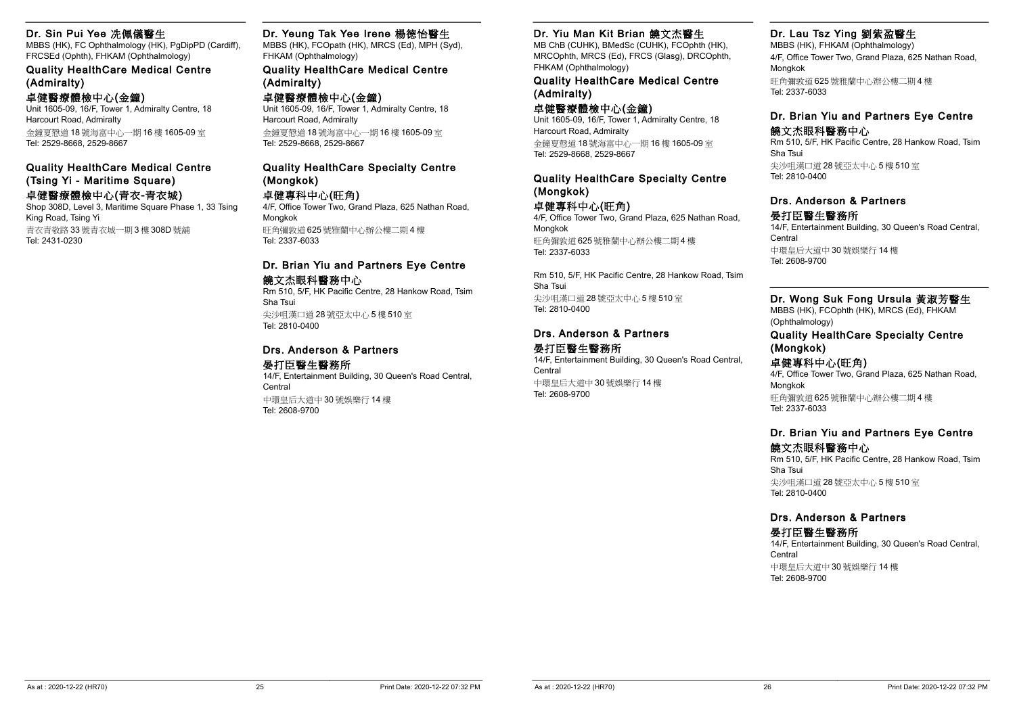#### Dr. Sin Pui Yee 冼佩儀醫生

MBBS (HK), FC Ophthalmology (HK), PgDipPD (Cardiff), FRCSEd (Ophth), FHKAM (Ophthalmology)

Quality HealthCare Medical Centre (Admiralty)

#### 卓健醫療體檢中心(金鐘)

Unit 1605-09, 16/F, Tower 1, Admiralty Centre, 18 Harcourt Road, Admiralty 金鐘夏慤道 18 號海富中心一期 16 樓 1605-09 室 Tel: 2529-8668, 2529-8667

Quality HealthCare Medical Centre

#### (Tsing Yi - Maritime Square) 卓健醫療體檢中心(青衣-青衣城)

Shop 308D, Level 3, Maritime Square Phase 1, 33 Tsing King Road, Tsing Yi 青衣青敬路 33 號青衣城一期 3 樓 308D 號舖 Tel: 2431-0230

#### Dr. Yeung Tak Yee Irene 楊德怡醫生

MBBS (HK), FCOpath (HK), MRCS (Ed), MPH (Syd), FHKAM (Ophthalmology)

#### Quality HealthCare Medical Centre (Admiralty)

卓健醫療體檢中心(金鐘) Unit 1605-09, 16/F, Tower 1, Admiralty Centre, 18 Harcourt Road, Admiralty 金鐘夏慤道 18 號海富中心一期 16 樓 1605-09 室 Tel: 2529-8668, 2529-8667

#### Quality HealthCare Specialty Centre (Mongkok)

#### 卓健專科中心(旺角)

4/F, Office Tower Two, Grand Plaza, 625 Nathan Road, Mongkok 旺角彌敦道 625 號雅蘭中心辦公樓二期 4 樓 Tel: 2337-6033

#### Dr. Brian Yiu and Partners Eye Centre 饒文杰眼科醫務中心

Rm 510, 5/F, HK Pacific Centre, 28 Hankow Road, Tsim Sha Tsui 尖沙咀漢口道 28 號亞太中心 5 樓 510 室 Tel: 2810-0400

#### Drs. Anderson & Partners

#### 晏打臣醫生醫務所

14/F, Entertainment Building, 30 Queen's Road Central, Central 中環皇后大道中 30 號娛樂行 14 樓 Tel: 2608-9700

#### Dr. Yiu Man Kit Brian 饒文杰醫生

MB ChB (CUHK), BMedSc (CUHK), FCOphth (HK), MRCOphth, MRCS (Ed), FRCS (Glasg), DRCOphth, FHKAM (Ophthalmology)

#### Quality HealthCare Medical Centre (Admiralty)

#### 卓健醫療體檢中心(金鐘)

Unit 1605-09, 16/F, Tower 1, Admiralty Centre, 18 Harcourt Road, Admiralty 金鐘夏慤道 18 號海富中心一期 16 樓 1605-09 室 Tel: 2529-8668, 2529-8667

#### Quality HealthCare Specialty Centre (Mongkok)

卓健專科中心(旺角) 4/F, Office Tower Two, Grand Plaza, 625 Nathan Road, Mongkok

旺角彌敦道 625 號雅蘭中心辦公樓二期 4 樓 Tel: 2337-6033

Rm 510, 5/F, HK Pacific Centre, 28 Hankow Road, Tsim Sha Tsui 尖沙咀漢口道 28 號亞太中心 5 樓 510 室 Tel: 2810-0400

#### Drs. Anderson & Partners 晏打臣醫生醫務所

14/F, Entertainment Building, 30 Queen's Road Central, Central 中環皇后大道中 30 號娛樂行 14 樓 Tel: 2608-9700

#### Dr. Lau Tsz Ying 劉紫盈醫生

MBBS (HK), FHKAM (Ophthalmology) 4/F, Office Tower Two, Grand Plaza, 625 Nathan Road, Mongkok 旺角彌敦道 625 號雅蘭中心辦公樓二期 4 樓 Tel: 2337-6033

#### Dr. Brian Yiu and Partners Eye Centre

#### 饒文杰眼科醫務中心

Rm 510, 5/F, HK Pacific Centre, 28 Hankow Road, Tsim Sha Tsui 尖沙咀漢口道 28 號亞太中心 5 樓 510 室 Tel: 2810-0400

#### Drs. Anderson & Partners

晏打臣醫生醫務所 14/F, Entertainment Building, 30 Queen's Road Central, Central 中環皇后大道中 30 號娛樂行 14 樓 Tel: 2608-9700

#### Dr. Wong Suk Fong Ursula 黃淑芳醫生

MBBS (HK), FCOphth (HK), MRCS (Ed), FHKAM (Ophthalmology)

#### Quality HealthCare Specialty Centre (Mongkok)

#### 卓健專科中心(旺角)

4/F, Office Tower Two, Grand Plaza, 625 Nathan Road, Mongkok 旺角彌敦道 625 號雅蘭中心辦公樓二期 4 樓 Tel: 2337-6033

#### Dr. Brian Yiu and Partners Eye Centre 饒文杰眼科醫務中心

Rm 510, 5/F, HK Pacific Centre, 28 Hankow Road, Tsim Sha Tsui 尖沙咀漢口道 28 號亞太中心 5 樓 510 室 Tel: 2810-0400

### Drs. Anderson & Partners

#### 晏打臣醫生醫務所

14/F, Entertainment Building, 30 Queen's Road Central, Central 中環皇后大道中 30 號娛樂行 14 樓 Tel: 2608-9700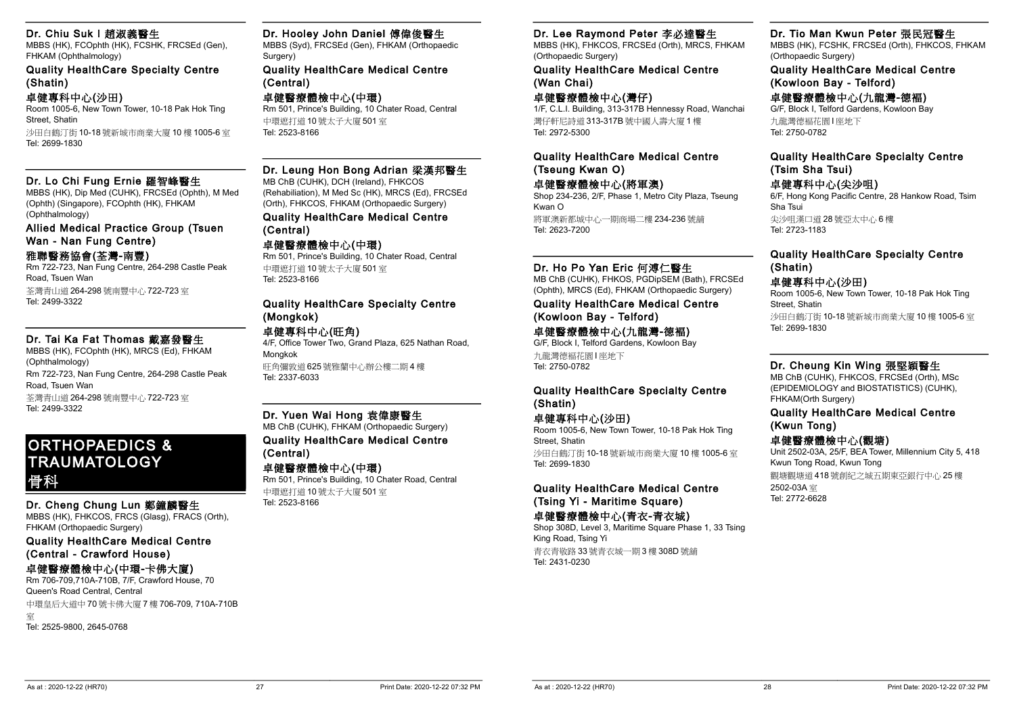#### Dr. Chiu Suk I 趙淑義醫生

MBBS (HK), FCOphth (HK), FCSHK, FRCSEd (Gen), FHKAM (Ophthalmology)

Quality HealthCare Specialty Centre (Shatin)

#### 卓健專科中心(沙田)

Room 1005-6, New Town Tower, 10-18 Pak Hok Ting Street, Shatin

沙田白鶴汀街 10-18 號新城市商業大廈 10 樓 1005-6 室 Tel: 2699-1830

#### Dr. Lo Chi Fung Ernie 羅智峰醫生

MBBS (HK), Dip Med (CUHK), FRCSEd (Ophth), M Med (Ophth) (Singapore), FCOphth (HK), FHKAM (Ophthalmology)

Allied Medical Practice Group (Tsuen Wan - Nan Fung Centre)

#### 雅聯醫務協會(荃灣-南豐)

Rm 722-723, Nan Fung Centre, 264-298 Castle Peak Road, Tsuen Wan 荃灣青山道 264-298 號南豐中心 722-723 室

Tel: 2499-3322

#### Dr. Tai Ka Fat Thomas 戴嘉發醫生

MBBS (HK), FCOphth (HK), MRCS (Ed), FHKAM (Ophthalmology) Rm 722-723, Nan Fung Centre, 264-298 Castle Peak Road, Tsuen Wan 荃灣青山道 264-298 號南豐中心 722-723 室 Tel: 2499-3322

ORTHOPAEDICS & **TRAUMATOLOGY** 骨科

#### Dr. Cheng Chung Lun 鄭鐘麟醫生

MBBS (HK), FHKCOS, FRCS (Glasg), FRACS (Orth), FHKAM (Orthopaedic Surgery)

Quality HealthCare Medical Centre (Central - Crawford House)

#### 卓健醫療體檢中心(中環-卡佛大廈)

Rm 706-709,710A-710B, 7/F, Crawford House, 70 Queen's Road Central, Central 中環皇后大道中 70 號卡佛大廈 7 樓 706-709, 710A-710B 室 Tel: 2525-9800, 2645-0768

Dr. Hooley John Daniel 傅偉俊醫生

MBBS (Syd), FRCSEd (Gen), FHKAM (Orthopaedic Surgery)

#### Quality HealthCare Medical Centre (Central)

卓健醫療體檢中心(中環) Rm 501, Prince's Building, 10 Chater Road, Central 中環遮打道 10 號太子大廈 501 室 Tel: 2523-8166

#### Dr. Leung Hon Bong Adrian 梁漢邦醫生

MB ChB (CUHK), DCH (Ireland), FHKCOS (Rehabiliation), M Med Sc (HK), MRCS (Ed), FRCSEd (Orth), FHKCOS, FHKAM (Orthopaedic Surgery) Quality HealthCare Medical Centre

#### (Central)

卓健醫療體檢中心(中環) Rm 501, Prince's Building, 10 Chater Road, Central 中環遮打道 10 號太子大廈 501 室 Tel: 2523-8166

#### Quality HealthCare Specialty Centre (Mongkok)

#### 卓健專科中心(旺角)

4/F, Office Tower Two, Grand Plaza, 625 Nathan Road, Mongkok

旺角彌敦道 625 號雅蘭中心辦公樓二期 4 樓 Tel: 2337-6033

#### Dr. Yuen Wai Hong 袁偉康醫生

MB ChB (CUHK), FHKAM (Orthopaedic Surgery) Quality HealthCare Medical Centre (Central)

### 卓健醫療體檢中心(中環)

Rm 501, Prince's Building, 10 Chater Road, Central 中環遮打道 10 號太子大廈 501 室 Tel: 2523-8166

#### Dr. Lee Raymond Peter 李必達醫生

MBBS (HK), FHKCOS, FRCSEd (Orth), MRCS, FHKAM (Orthopaedic Surgery)

Quality HealthCare Medical Centre (Wan Chai)

#### 卓健醫療體檢中心(灣仔)

1/F, C.L.I. Building, 313-317B Hennessy Road, Wanchai 灣仔軒尼詩道 313-317B 號中國人壽大廈 1 樓 Tel: 2972-5300

#### Quality HealthCare Medical Centre (Tseung Kwan O)

卓健醫療體檢中心(將軍澳) Shop 234-236, 2/F, Phase 1, Metro City Plaza, Tseung Kwan O 將軍澳新都城中心一期商場二樓 234-236 號舖 Tel: 2623-7200

#### Dr. Ho Po Yan Eric 何溥仁醫生

MB ChB (CUHK), FHKOS, PGDipSEM (Bath), FRCSEd (Ophth), MRCS (Ed), FHKAM (Orthopaedic Surgery)

#### Quality HealthCare Medical Centre (Kowloon Bay - Telford)

卓健醫療體檢中心(九龍灣-德褔) G/F, Block I, Telford Gardens, Kowloon Bay 九龍灣德褔花園 I 座地下 Tel: 2750-0782

#### Quality HealthCare Specialty Centre (Shatin)

#### 卓健專科中心(沙田)

Room 1005-6, New Town Tower, 10-18 Pak Hok Ting Street, Shatin 沙田白鶴汀街 10-18 號新城市商業大廈 10 樓 1005-6 室 Tel: 2699-1830

#### Quality HealthCare Medical Centre (Tsing Yi - Maritime Square)

#### 卓健醫療體檢中心(青衣-青衣城)

Shop 308D, Level 3, Maritime Square Phase 1, 33 Tsing King Road, Tsing Yi 青衣青敬路 33 號青衣城一期 3 樓 308D 號舖 Tel: 2431-0230

#### Dr. Tio Man Kwun Peter 張民冠醫生

MBBS (HK), FCSHK, FRCSEd (Orth), FHKCOS, FHKAM (Orthopaedic Surgery)

Quality HealthCare Medical Centre (Kowloon Bay - Telford)

#### 卓健醫療體檢中心(九龍灣-德褔)

G/F, Block I, Telford Gardens, Kowloon Bay 九龍灣德褔花園 I 座地下 Tel: 2750-0782

#### Quality HealthCare Specialty Centre (Tsim Sha Tsui)

#### 卓健專科中心(尖沙咀)

6/F, Hong Kong Pacific Centre, 28 Hankow Road, Tsim Sha Tsui 尖沙咀漢口道 28 號亞太中心 6 樓 Tel: 2723-1183

#### Quality HealthCare Specialty Centre (Shatin)

#### 卓健專科中心(沙田)

Room 1005-6, New Town Tower, 10-18 Pak Hok Ting Street, Shatin

沙田白鶴汀街 10-18 號新城市商業大廈 10 樓 1005-6 室 Tel: 2699-1830

#### Dr. Cheung Kin Wing 張堅穎醫生

MB ChB (CUHK), FHKCOS, FRCSEd (Orth), MSc (EPIDEMIOLOGY and BIOSTATISTICS) (CUHK), FHKAM(Orth Surgery)

#### Quality HealthCare Medical Centre (Kwun Tong)

#### 卓健醫療體檢中心(觀塘)

Unit 2502-03A, 25/F, BEA Tower, Millennium City 5, 418 Kwun Tong Road, Kwun Tong 觀塘觀塘道 418 號創紀之城五期東亞銀行中心 25 樓 2502-03A 室 Tel: 2772-6628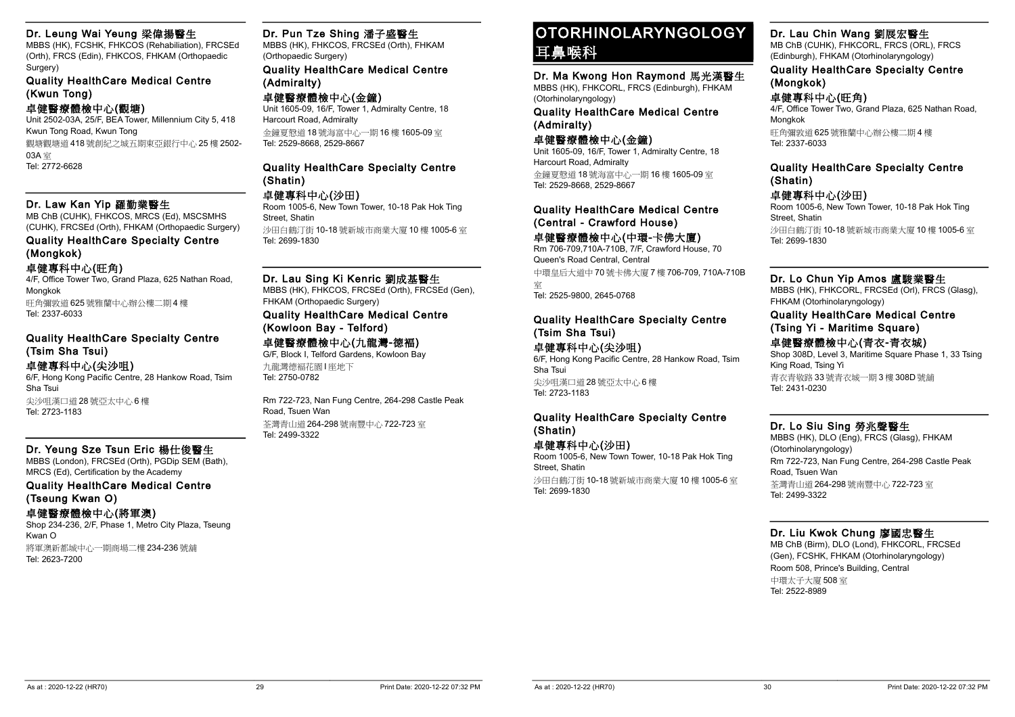#### Dr. Leung Wai Yeung 梁偉揚醫生

MBBS (HK), FCSHK, FHKCOS (Rehabiliation), FRCSEd (Orth), FRCS (Edin), FHKCOS, FHKAM (Orthopaedic Surgery)

Quality HealthCare Medical Centre (Kwun Tong)

#### 卓健醫療體檢中心(觀塘)

Unit 2502-03A, 25/F, BEA Tower, Millennium City 5, 418 Kwun Tong Road, Kwun Tong 觀塘觀塘道 418 號創紀之城五期東亞銀行中心 25 樓 2502- 03A 室 Tel: 2772-6628

#### Dr. Law Kan Yip 羅勤業醫生

MB ChB (CUHK), FHKCOS, MRCS (Ed), MSCSMHS (CUHK), FRCSEd (Orth), FHKAM (Orthopaedic Surgery)

#### Quality HealthCare Specialty Centre (Mongkok)

#### 卓健專科中心(旺角)

4/F, Office Tower Two, Grand Plaza, 625 Nathan Road, Mongkok 旺角彌敦道 625 號雅蘭中心辦公樓二期 4 樓 Tel: 2337-6033

#### Quality HealthCare Specialty Centre (Tsim Sha Tsui) 卓健專科中心(尖沙咀)

6/F, Hong Kong Pacific Centre, 28 Hankow Road, Tsim Sha Tsui 尖沙咀漢口道 28 號亞太中心 6 樓 Tel: 2723-1183

#### Dr. Yeung Sze Tsun Eric 楊仕俊醫生

MBBS (London), FRCSEd (Orth), PGDip SEM (Bath), MRCS (Ed), Certification by the Academy

Quality HealthCare Medical Centre (Tseung Kwan O)

卓健醫療體檢中心(將軍澳)

Shop 234-236, 2/F, Phase 1, Metro City Plaza, Tseung Kwan O 將軍澳新都城中心一期商場二樓 234-236 號舖 Tel: 2623-7200

#### Dr. Pun Tze Shing 潘子盛醫生

MBBS (HK), FHKCOS, FRCSEd (Orth), FHKAM (Orthopaedic Surgery)

Quality HealthCare Medical Centre (Admiralty)

卓健醫療體檢中心(金鐘) Unit 1605-09, 16/F, Tower 1, Admiralty Centre, 18 Harcourt Road, Admiralty 金鐘夏慤道 18 號海富中心一期 16 樓 1605-09 室 Tel: 2529-8668, 2529-8667

#### Quality HealthCare Specialty Centre (Shatin)

#### 卓健專科中心(沙田)

Room 1005-6, New Town Tower, 10-18 Pak Hok Ting Street, Shatin 沙田白鶴汀街 10-18 號新城市商業大廈 10 樓 1005-6 室 Tel: 2699-1830

Dr. Lau Sing Ki Kenric 劉成基醫生

MBBS (HK), FHKCOS, FRCSEd (Orth), FRCSEd (Gen), FHKAM (Orthopaedic Surgery) Quality HealthCare Medical Centre

# (Kowloon Bay - Telford)

#### 卓健醫療體檢中心(九龍灣-德褔)

G/F, Block I, Telford Gardens, Kowloon Bay 九龍灣德褔花園 I 座地下 Tel: 2750-0782

Rm 722-723, Nan Fung Centre, 264-298 Castle Peak Road, Tsuen Wan 荃灣青山道 264-298 號南豐中心 722-723 室 Tel: 2499-3322

### OTORHINOLARYNGOLOGY 耳鼻喉科

Dr. Ma Kwong Hon Raymond 馬光漢醫生 MBBS (HK), FHKCORL, FRCS (Edinburgh), FHKAM (Otorhinolaryngology)

Quality HealthCare Medical Centre (Admiralty)

#### 卓健醫療體檢中心(金鐘)

Unit 1605-09, 16/F, Tower 1, Admiralty Centre, 18 Harcourt Road, Admiralty 金鐘夏慤道 18 號海富中心一期 16 樓 1605-09 室 Tel: 2529-8668, 2529-8667

Quality HealthCare Medical Centre (Central - Crawford House)

#### 卓健醫療體檢中心(中環-卡佛大廈)

Rm 706-709,710A-710B, 7/F, Crawford House, 70 Queen's Road Central, Central 中環皇后大道中 70 號卡佛大廈 7 樓 706-709, 710A-710B

室

Tel: 2525-9800, 2645-0768

#### Quality HealthCare Specialty Centre (Tsim Sha Tsui)

#### 卓健專科中心(尖沙咀)

6/F, Hong Kong Pacific Centre, 28 Hankow Road, Tsim Sha Tsui 尖沙咀漢口道 28 號亞太中心 6 樓 Tel: 2723-1183

#### Quality HealthCare Specialty Centre (Shatin)

#### 卓健專科中心(沙田) Room 1005-6, New Town Tower, 10-18 Pak Hok Ting Street, Shatin

沙田白鶴汀街 10-18 號新城市商業大廈 10 樓 1005-6 室 Tel: 2699-1830

#### Dr. Lau Chin Wang 劉展宏醫生

MB ChB (CUHK), FHKCORL, FRCS (ORL), FRCS (Edinburgh), FHKAM (Otorhinolaryngology)

#### Quality HealthCare Specialty Centre (Mongkok)

#### 卓健專科中心(旺角)

4/F, Office Tower Two, Grand Plaza, 625 Nathan Road, Mongkok

旺角彌敦道 625 號雅蘭中心辦公樓二期 4 樓 Tel: 2337-6033

#### Quality HealthCare Specialty Centre (Shatin)

卓健專科中心(沙田)

Room 1005-6, New Town Tower, 10-18 Pak Hok Ting Street, Shatin 沙田白鶴汀街 10-18 號新城市商業大廈 10 樓 1005-6 室 Tel: 2699-1830

#### Dr. Lo Chun Yip Amos 盧駿業醫生

MBBS (HK), FHKCORL, FRCSEd (Orl), FRCS (Glasg), FHKAM (Otorhinolaryngology)

#### Quality HealthCare Medical Centre (Tsing Yi - Maritime Square)

卓健醫療體檢中心(青衣-青衣城)

Shop 308D, Level 3, Maritime Square Phase 1, 33 Tsing King Road, Tsing Yi 青衣青敬路 33 號青衣城一期 3 樓 308D 號舖 Tel: 2431-0230

#### Dr. Lo Siu Sing 勞兆聲醫生

MBBS (HK), DLO (Eng), FRCS (Glasg), FHKAM (Otorhinolaryngology) Rm 722-723, Nan Fung Centre, 264-298 Castle Peak Road, Tsuen Wan 荃灣青山道 264-298 號南豐中心 722-723 室 Tel: 2499-3322

#### Dr. Liu Kwok Chung 廖國忠醫生

MB ChB (Birm), DLO (Lond), FHKCORL, FRCSEd (Gen), FCSHK, FHKAM (Otorhinolaryngology) Room 508, Prince's Building, Central 中環太子大廈 508 室 Tel: 2522-8989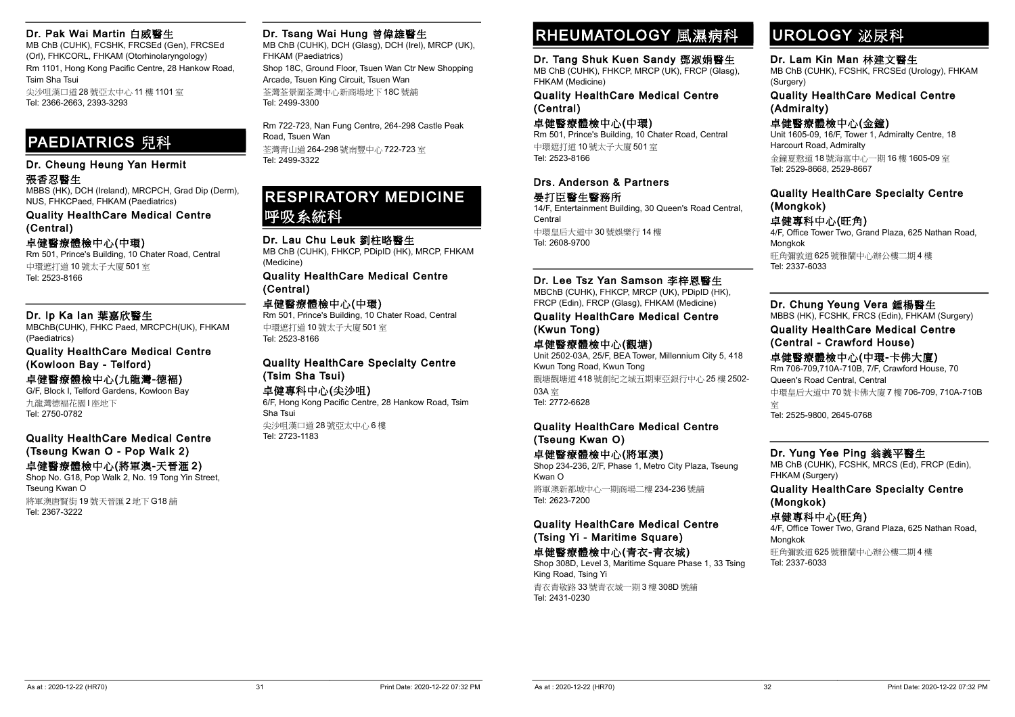#### Dr. Pak Wai Martin 白威醫生

MB ChB (CUHK), FCSHK, FRCSEd (Gen), FRCSEd (Orl), FHKCORL, FHKAM (Otorhinolaryngology) Rm 1101, Hong Kong Pacific Centre, 28 Hankow Road, Tsim Sha Tsui 尖沙咀漢口道 28 號亞太中心 11 樓 1101 室 Tel: 2366-2663, 2393-3293

### PAEDIATRICS 兒科

#### Dr. Cheung Heung Yan Hermit

#### 張香忍醫生

MBBS (HK), DCH (Ireland), MRCPCH, Grad Dip (Derm), NUS, FHKCPaed, FHKAM (Paediatrics)

Quality HealthCare Medical Centre (Central)

#### 卓健醫療體檢中心(中環)

Rm 501, Prince's Building, 10 Chater Road, Central 中環遮打道 10 號太子大廈 501 室 Tel: 2523-8166

#### Dr. Ip Ka Ian 葉嘉欣醫生

MBChB(CUHK), FHKC Paed, MRCPCH(UK), FHKAM (Paediatrics)

Quality HealthCare Medical Centre (Kowloon Bay - Telford)

#### 卓健醫療體檢中心(九龍灣-德褔) G/F, Block I, Telford Gardens, Kowloon Bay

九龍灣德褔花園 I 座地下 Tel: 2750-0782

#### Quality HealthCare Medical Centre (Tseung Kwan O - Pop Walk 2)

#### 卓健醫療體檢中心(將軍澳-天晉滙 2)

Shop No. G18, Pop Walk 2, No. 19 Tong Yin Street, Tseung Kwan O 將軍澳唐賢街 19 號天晉匯 2 地下 G18 舖 Tel: 2367-3222

#### Dr. Tsang Wai Hung 曾偉雄醫生

MB ChB (CUHK), DCH (Glasg), DCH (Irel), MRCP (UK), FHKAM (Paediatrics) Shop 18C, Ground Floor, Tsuen Wan Ctr New Shopping Arcade, Tsuen King Circuit, Tsuen Wan 荃灣荃景圍荃灣中心新商場地下 18C 號舖 Tel: 2499-3300

Rm 722-723, Nan Fung Centre, 264-298 Castle Peak Road, Tsuen Wan 荃灣青山道 264-298 號南豐中心 722-723 室 Tel: 2499-3322

### RESPIRATORY MEDICINE 呼吸系統科

#### Dr. Lau Chu Leuk 劉柱略醫生

MB ChB (CUHK), FHKCP, PDipID (HK), MRCP, FHKAM (Medicine)

Quality HealthCare Medical Centre (Central)

卓健醫療體檢中心(中環) Rm 501, Prince's Building, 10 Chater Road, Central 中環遮打道 10 號太子大廈 501 室 Tel: 2523-8166

#### Quality HealthCare Specialty Centre (Tsim Sha Tsui)

卓健專科中心(尖沙咀) 6/F, Hong Kong Pacific Centre, 28 Hankow Road, Tsim Sha Tsui

尖沙咀漢口道 28 號亞太中心 6 樓 Tel: 2723-1183

# RHEUMATOLOGY 風濕病科

#### Dr. Tang Shuk Kuen Sandy 鄧淑娟醫生

MB ChB (CUHK), FHKCP, MRCP (UK), FRCP (Glasg), FHKAM (Medicine)

Quality HealthCare Medical Centre (Central)

卓健醫療體檢中心(中環) Rm 501, Prince's Building, 10 Chater Road, Central 中環遮打道 10 號太子大廈 501 室 Tel: 2523-8166

#### Drs. Anderson & Partners 晏打臣醫生醫務所

14/F, Entertainment Building, 30 Queen's Road Central, **Central** 中環皇后大道中 30 號娛樂行 14 樓

Tel: 2608-9700

#### Dr. Lee Tsz Yan Samson 李梓恩醫生

MBChB (CUHK), FHKCP, MRCP (UK), PDipID (HK), FRCP (Edin), FRCP (Glasg), FHKAM (Medicine)

Quality HealthCare Medical Centre (Kwun Tong)

#### 卓健醫療體檢中心(觀塘)

Unit 2502-03A, 25/F, BEA Tower, Millennium City 5, 418 Kwun Tong Road, Kwun Tong 觀塘觀塘道 418 號創紀之城五期東亞銀行中心 25 樓 2502- 03A 室 Tel: 2772-6628

#### Quality HealthCare Medical Centre (Tseung Kwan O)

卓健醫療體檢中心(將軍澳) Shop 234-236, 2/F, Phase 1, Metro City Plaza, Tseung Kwan O

將軍澳新都城中心一期商場二樓 234-236 號舖 Tel: 2623-7200

Quality HealthCare Medical Centre (Tsing Yi - Maritime Square)

卓健醫療體檢中心(青衣-青衣城) Shop 308D, Level 3, Maritime Square Phase 1, 33 Tsing King Road, Tsing Yi 青衣青敬路 33 號青衣城一期 3 樓 308D 號舖 Tel: 2431-0230

# UROLOGY 泌尿科

### Dr. Lam Kin Man 林建文醫生

MB ChB (CUHK), FCSHK, FRCSEd (Urology), FHKAM (Surgery)

#### Quality HealthCare Medical Centre (Admiralty)

#### 卓健醫療體檢中心(金鐘)

Unit 1605-09, 16/F, Tower 1, Admiralty Centre, 18 Harcourt Road, Admiralty

金鐘夏慤道 18 號海富中心一期 16 樓 1605-09 室 Tel: 2529-8668, 2529-8667

#### Quality HealthCare Specialty Centre (Mongkok)

#### 卓健專科中心(旺角)

4/F, Office Tower Two, Grand Plaza, 625 Nathan Road, Mongkok 旺角彌敦道 625 號雅蘭中心辦公樓二期 4 樓 Tel: 2337-6033

#### Dr. Chung Yeung Vera 鍾楊醫生

MBBS (HK), FCSHK, FRCS (Edin), FHKAM (Surgery)

#### Quality HealthCare Medical Centre (Central - Crawford House)

#### 卓健醫療體檢中心(中環-卡佛大廈) Rm 706-709,710A-710B, 7/F, Crawford House, 70 Queen's Road Central, Central

中環皇后大道中 70 號卡佛大廈 7 樓 706-709, 710A-710B 室

Tel: 2525-9800, 2645-0768

#### Dr. Yung Yee Ping 翁義平醫生

MB ChB (CUHK), FCSHK, MRCS (Ed), FRCP (Edin), FHKAM (Surgery)

#### Quality HealthCare Specialty Centre (Mongkok)

#### 卓健專科中心(旺角)

4/F, Office Tower Two, Grand Plaza, 625 Nathan Road, Mongkok

旺角彌敦道 625 號雅蘭中心辦公樓二期 4 樓 Tel: 2337-6033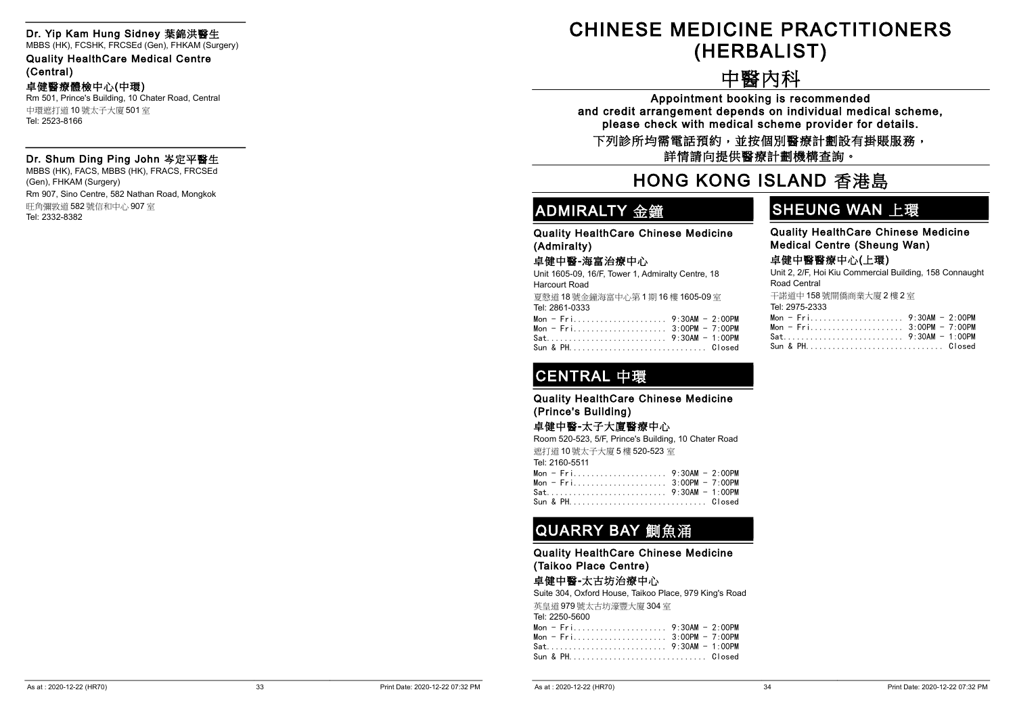#### Dr. Yip Kam Hung Sidney 葉錦洪醫生

MBBS (HK), FCSHK, FRCSEd (Gen), FHKAM (Surgery)

Quality HealthCare Medical Centre (Central)

#### 卓健醫療體檢中心(中環)

Rm 501, Prince's Building, 10 Chater Road, Central 中環遮打道 10 號太子大廈 501 室 Tel: 2523-8166

#### Dr. Shum Ding Ping John 岑定平醫生

MBBS (HK), FACS, MBBS (HK), FRACS, FRCSEd (Gen), FHKAM (Surgery) Rm 907, Sino Centre, 582 Nathan Road, Mongkok 旺角彌敦道 582 號信和中心 907 室 Tel: 2332-8382

# -CHINESE MEDICINE PRACTITIONERS (HERBALIST)

# -中醫內科

Appointment booking is recommended and credit arrangement depends on individual medical scheme, please check with medical scheme provider for details.

下列診所均需電話預約,並按個別醫療計劃設有掛賬服務, 詳情請向提供醫療計劃機構查詢。

### -HONG KONG ISLAND 香港島

# ADMIRALTY 金鐘

### SHEUNG WAN 上環

Quality HealthCare Chinese Medicine (Admiralty)

#### 卓健中醫-海富治療中心

Unit 1605-09, 16/F, Tower 1, Admiralty Centre, 18 Harcourt Road

| 夏熬道 18號金鐘海富中心第1期16樓 1605-09室 |  |
|------------------------------|--|
| Tel: 2861-0333               |  |
|                              |  |
| Mon - Fri 3:00PM - 7:00PM    |  |
|                              |  |

Sun & PH............................... Closed

# Quality HealthCare Chinese Medicine

Medical Centre (Sheung Wan)

#### 卓健中醫醫療中心(上環)

Unit 2, 2/F, Hoi Kiu Commercial Building, 158 Connaught Road Central

干諾道中 158 號開僑商業大廈 2 樓 2 室

| Tel: 2975-2333              |  |
|-----------------------------|--|
|                             |  |
| Mon - $Fri$ 3:00PM - 7:00PM |  |
|                             |  |
|                             |  |

# CENTRAL 中環

Quality HealthCare Chinese Medicine (Prince's Building)

#### 卓健中醫-太子大廈醫療中心

Room 520-523, 5/F, Prince's Building, 10 Chater Road 遮打道 10 號太子大廈 5 樓 520-523 室 Tel: 2160-5511 Mon - Fri..................... 9:30AM - 2:00PM Mon - Fri..................... 3:00PM - 7:00PM Sat........................... 9:30AM - 1:00PM Sun & PH............................... Closed

### QUARRY BAY 鰂魚涌

Quality HealthCare Chinese Medicine (Taikoo Place Centre)

#### 卓健中醫-太古坊治療中心

Suite 304, Oxford House, Taikoo Place, 979 King's Road 英皇道 979 號太古坊濠豐大廈 304 室 Tel: 2250-5600 Mon - Fri..................... 9:30AM - 2:00PM Mon - Fri..................... 3:00PM - 7:00PM Sat........................... 9:30AM - 1:00PM Sun & PH............................... Closed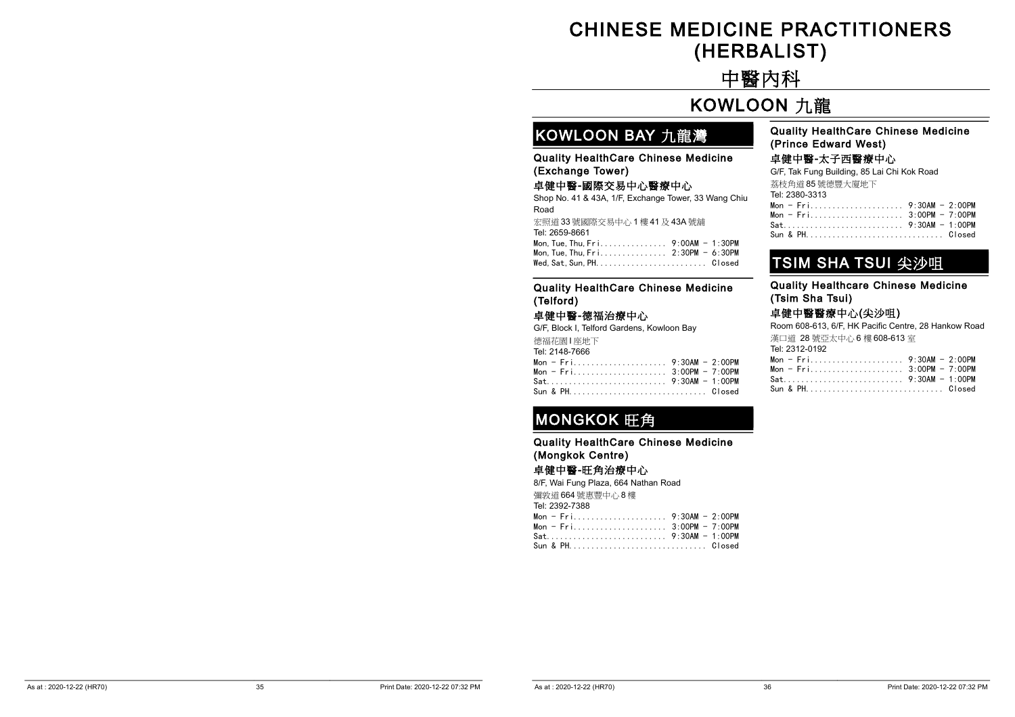# CHINESE MEDICINE PRACTITIONERS (HERBALIST)

# -中醫內科

### -KOWLOON 九龍

### KOWLOON BAY 九龍灣

Quality HealthCare Chinese Medicine (Exchange Tower)

#### 卓健中醫-國際交易中心醫療中心

Shop No. 41 & 43A, 1/F, Exchange Tower, 33 Wang Chiu Road

宏照道 33 號國際交易中心 1 樓 41 及 43A 號舖 Tel: 2659-8661 Mon,Tue,Thu,Fri............... 9:00AM - 1:30PM Mon,Tue,Thu,Fri............... 2:30PM - 6:30PM Wed,Sat,Sun,PH......................... Closed

#### Quality HealthCare Chinese Medicine (Prince Edward West)

#### 卓健中醫-太子西醫療中心

G/F, Tak Fung Building, 85 Lai Chi Kok Road 荔枝角道 85 號德豐大廈地下

| Tel: 2380-3313 |  |
|----------------|--|
|                |  |
|                |  |
|                |  |
| Sun & PHClosed |  |
|                |  |

### TSIM SHA TSUI 尖沙咀

Quality Healthcare Chinese Medicine (Tsim Sha Tsui)

#### 卓健中醫醫療中心(尖沙咀)

Room 608-613, 6/F, HK Pacific Centre, 28 Hankow Road 漢口道 28 號亞太中心 6 樓 608-613 室 Tel: 2312-0192 Mon - Fri..................... 9:30AM - 2:00PM Mon - Fri..................... 3:00PM - 7:00PM Sat........................... 9:30AM - 1:00PM Sun & PH............................... Closed

#### Quality HealthCare Chinese Medicine (Telford)

#### 卓健中醫-德福治療中心

G/F, Block I, Telford Gardens, Kowloon Bay 德福花園 I 座地下 Tel: 2148-7666

|  |  |  |  |  |  |  |  |  | Mon - Fri 9:30AM - 2:00PM |  |
|--|--|--|--|--|--|--|--|--|---------------------------|--|
|  |  |  |  |  |  |  |  |  | Mon - Fri 3:00PM - 7:00PM |  |
|  |  |  |  |  |  |  |  |  |                           |  |
|  |  |  |  |  |  |  |  |  | Sun & PH Closed           |  |

### MONGKOK 旺角

Quality HealthCare Chinese Medicine (Mongkok Centre)

#### 卓健中醫-旺角治療中心

8/F, Wai Fung Plaza, 664 Nathan Road 彌敦道 664 號惠豐中心 8 樓

Tel: 2392-7388

| Mon - Fri 3:00PM - 7:00PM |  |
|---------------------------|--|
|                           |  |
| Sun & PH Closed           |  |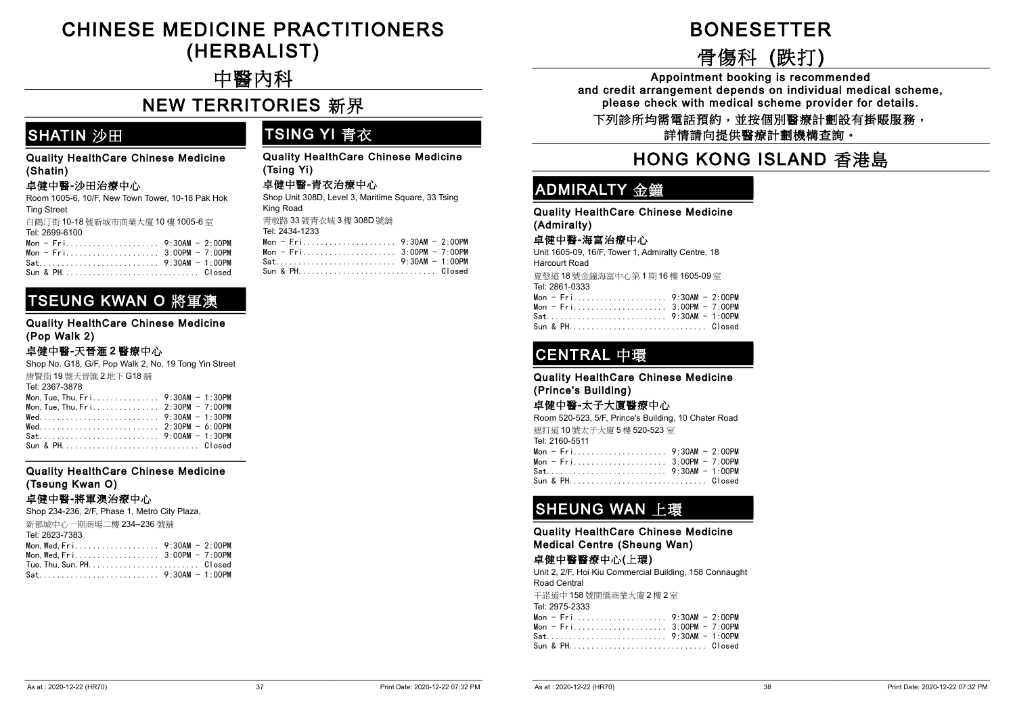### -CHINESE MEDICINE PRACTITIONERS (HERBALIST)

# -中醫內科

## **NEW TERRITORIES 新界**

### SHATIN 沙田

#### Quality HealthCare Chinese Medicine (Shatin)

#### 卓健中醫-沙田治療中心

| Room 1005-6, 10/F, New Town Tower, 10-18 Pak Hok |
|--------------------------------------------------|
| <b>Ting Street</b>                               |
| 白鶴汀街 10-18號新城市商業大廈 10樓 1005-6室                   |
| Tel: 2699-6100                                   |
| Mon - $Fri$ 9:30AM - 2:00PM                      |
| Mon - Fri 3:00PM - 7:00PM                        |

# Mon - Fri..................... 3:00PM - 7:00PM

### TSEUNG KWAN O 將軍澳

#### Quality HealthCare Chinese Medicine (Pop Walk 2)

#### 卓健中醫-天晉滙 2 醫療中心

| Shop No. G18, G/F, Pop Walk 2, No. 19 Tong Yin Street                                                     |  |
|-----------------------------------------------------------------------------------------------------------|--|
| 唐賢街 19號天晉匯 2 地下 G18 舗                                                                                     |  |
| Tel: 2367-3878                                                                                            |  |
| Mon. Tue. Thu. $Fr_1, \ldots, \ldots, \ldots, 9:30AM - 1:30PM$                                            |  |
|                                                                                                           |  |
|                                                                                                           |  |
| $\text{Wed.} \dots \dots \dots \dots \dots \dots \dots \dots \dots \quad 2:30 \text{PM} - 6:00 \text{PM}$ |  |

Sat........................... 9:00AM - 1:30PM Sun & PH............................... Closed

#### Quality HealthCare Chinese Medicine (Tseung Kwan O)

#### 卓健中醫-將軍澳治療中心

Shop 234-236, 2/F, Phase 1, Metro City Plaza, 新都城中心一期商場二樓 234–236 號舖 Tel: 2623-7383 Mon, Wed, Fri. . . . . . . . . . . . . . . . . . 9:30AM - 2:00PM Mon, Wed, Fri. . . . . . . . . . . . . . . . . . 3:00PM - 7:00PM Tue,Thu,Sun,PH......................... Closed Sat........................... 9:30AM - 1:00PM

### TSING YI 青衣

Quality HealthCare Chinese Medicine (Tsing Yi)

#### 卓健中醫-青衣治療中心

| Shop Unit 308D, Level 3, Maritime Square, 33 Tsing |
|----------------------------------------------------|
| King Road                                          |
| 青敬路 33 號青衣城 3 樓 308D 號鋪                            |

Tel: 2434-1233

| Mon - $Fri$ 3:00PM - 7:00PM |  |
|-----------------------------|--|
|                             |  |
| Sun & PHClosed              |  |

# -BONESETTER

# -骨傷科 (跌打)

Appointment booking is recommended and credit arrangement depends on individual medical scheme, please check with medical scheme provider for details.

下列診所均需電話預約,並按個別醫療計劃設有掛賬服務, 詳情請向提供醫療計劃機構查詢。

### -HONG KONG ISLAND 香港島

### ADMIRALTY 金鐘

Quality HealthCare Chinese Medicine (Admiralty)

#### 卓健中醫-海富治療中心

Unit 1605-09, 16/F, Tower 1, Admiralty Centre, 18 Harcourt Road 夏慤道 18 號金鐘海富中心第 1 期 16 樓 1605-09 室

Tel: 2861-0333

| Mon - $Fr$ i 3:00PM - 7:00PM |  |
|------------------------------|--|
|                              |  |
|                              |  |

### CENTRAL 中環

#### Quality HealthCare Chinese Medicine (Prince's Building)

#### 卓健中醫-太子大廈醫療中心

Room 520-523, 5/F, Prince's Building, 10 Chater Road 遮打道 10 號太子大廈 5 樓 520-523 室 Tel: 2160-5511 Mon - Fri..................... 9:30AM - 2:00PM Mon - Fri..................... 3:00PM - 7:00PM Sat........................... 9:30AM - 1:00PM Sun & PH............................... Closed

# SHEUNG WAN 上環

Quality HealthCare Chinese Medicine Medical Centre (Sheung Wan)

#### 卓健中醫醫療中心(上環)

Unit 2, 2/F, Hoi Kiu Commercial Building, 158 Connaught Road Central 干諾道中 158 號開僑商業大廈 2 樓 2 室 Tel: 2975-2333 Mon - Fri..................... 9:30AM - 2:00PM Mon - Fri..................... 3:00PM - 7:00PM Sat........................... 9:30AM - 1:00PM

Sun & PH............................... Closed

| \s at : 2020-12-22 (HR70) |  |
|---------------------------|--|
|---------------------------|--|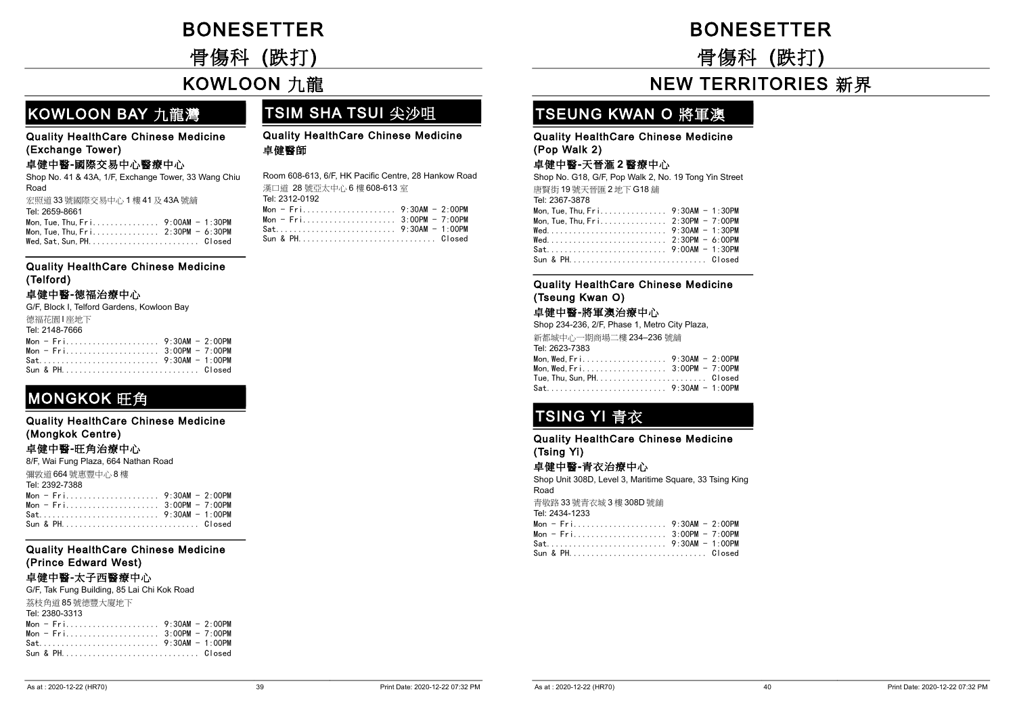# -BONESETTER

-骨傷科 (跌打)

### -KOWLOON 九龍

### KOWLOON BAY 九龍灣

### TSIM SHA TSUI 尖沙咀

#### Quality HealthCare Chinese Medicine (Exchange Tower)

#### 卓健中醫-國際交易中心醫療中心

Shop No. 41 & 43A, 1/F, Exchange Tower, 33 Wang Chiu Road 宏照道 33 號國際交易中心 1 樓 41 及 43A 號舖 Tel: 2659-8661 Mon,Tue,Thu,Fri............... 9:00AM - 1:30PM Mon,Tue,Thu,Fri............... 2:30PM - 6:30PM Wed,Sat,Sun,PH......................... Closed

#### Quality HealthCare Chinese Medicine (Telford)

#### 卓健中醫-德福治療中心

G/F, Block I, Telford Gardens, Kowloon Bay 德福花園 | 座地下 Tel: 2148-7666 Mon - Fri..................... 9:30AM - 2:00PM Mon - Fri..................... 3:00PM - 7:00PM

|  |  |  |  |  |  |  |  |  |  |  | $Mon = Fri1, , , , , , 3:UUPM = 7:UUPM$ |
|--|--|--|--|--|--|--|--|--|--|--|-----------------------------------------|
|  |  |  |  |  |  |  |  |  |  |  |                                         |
|  |  |  |  |  |  |  |  |  |  |  | Sun & PHClosed                          |

### **MONGKOK 旺角**

| <b>Quality HealthCare Chinese Medicine</b> |  |
|--------------------------------------------|--|
| (Mongkok Centre)                           |  |

#### 卓健中醫-旺角治療中心

| 8/F, Wai Fung Plaza, 664 Nathan Road |  |  |  |  |  |  |
|--------------------------------------|--|--|--|--|--|--|
| 彌敦道 664號惠豐中心 8樓                      |  |  |  |  |  |  |
| Tel: 2392-7388                       |  |  |  |  |  |  |
|                                      |  |  |  |  |  |  |
| Mon - Fri 3:00PM - 7:00PM            |  |  |  |  |  |  |
|                                      |  |  |  |  |  |  |
|                                      |  |  |  |  |  |  |

#### Quality HealthCare Chinese Medicine (Prince Edward West)

#### 卓健中醫-太子西醫療中心

| G/F, Tak Fung Building, 85 Lai Chi Kok Road |  |  |  |  |  |
|---------------------------------------------|--|--|--|--|--|
| 荔枝角道 85 號德豐大廈地下                             |  |  |  |  |  |
| Tel: 2380-3313                              |  |  |  |  |  |
|                                             |  |  |  |  |  |
| Mon - $Fri$ 3:00PM - 7:00PM                 |  |  |  |  |  |
|                                             |  |  |  |  |  |
|                                             |  |  |  |  |  |

Quality HealthCare Chinese Medicine 卓健醫師

Room 608-613, 6/F, HK Pacific Centre, 28 Hankow Road 漢口道 28 號亞太中心 6 樓 608-613 室 Tel: 2312-0192 Mon - Fri..................... 9:30AM - 2:00PM Mon - Fri..................... 3:00PM - 7:00PM Sat........................... 9:30AM - 1:00PM Sun & PH............................... Closed

# **BONESETTER**

-骨傷科 (跌打)

# **NEW TERRITORIES 新界**

### TSEUNG KWAN O 將軍澳

#### Quality HealthCare Chinese Medicine (Pop Walk 2)

#### 卓健中醫-天晉滙 2 醫療中心

Shop No. G18, G/F, Pop Walk 2, No. 19 Tong Yin Street 唐賢街 19 號天晉匯 2 地下 G18 舖 Tel: 2367-3878 Mon,Tue,Thu,Fri............... 9:30AM - 1:30PM Mon,Tue,Thu,Fri............... 2:30PM - 7:00PM Wed........................... 9:30AM - 1:30PM Wed........................... 2:30PM - 6:00PM Sat........................... 9:00AM - 1:30PM Sun & PH............................... Closed

#### Quality HealthCare Chinese Medicine (Tseung Kwan O)

#### 卓健中醫-將軍澳治療中心

| Shop 234-236, 2/F, Phase 1, Metro City Plaza, |  |  |  |  |  |  |
|-----------------------------------------------|--|--|--|--|--|--|
| 新都城中心一期商場二樓 234–236 號舖                        |  |  |  |  |  |  |
| Tel: 2623-7383                                |  |  |  |  |  |  |
| Mon. Wed. Fri. 9:30AM - 2:00PM                |  |  |  |  |  |  |
| Mon, Wed, Fri. 3:00PM - 7:00PM                |  |  |  |  |  |  |
|                                               |  |  |  |  |  |  |
| Sat 9:30AM - 1:00PM                           |  |  |  |  |  |  |
|                                               |  |  |  |  |  |  |

# TSING YI 青衣

Quality HealthCare Chinese Medicine (Tsing Yi)

#### 卓健中醫-青衣治療中心

Shop Unit 308D, Level 3, Maritime Square, 33 Tsing King Road 青敬路 33 號青衣城 3 樓 308D 號舖

Tel: 2434-1233

| Sun & PH Closed |  |
|-----------------|--|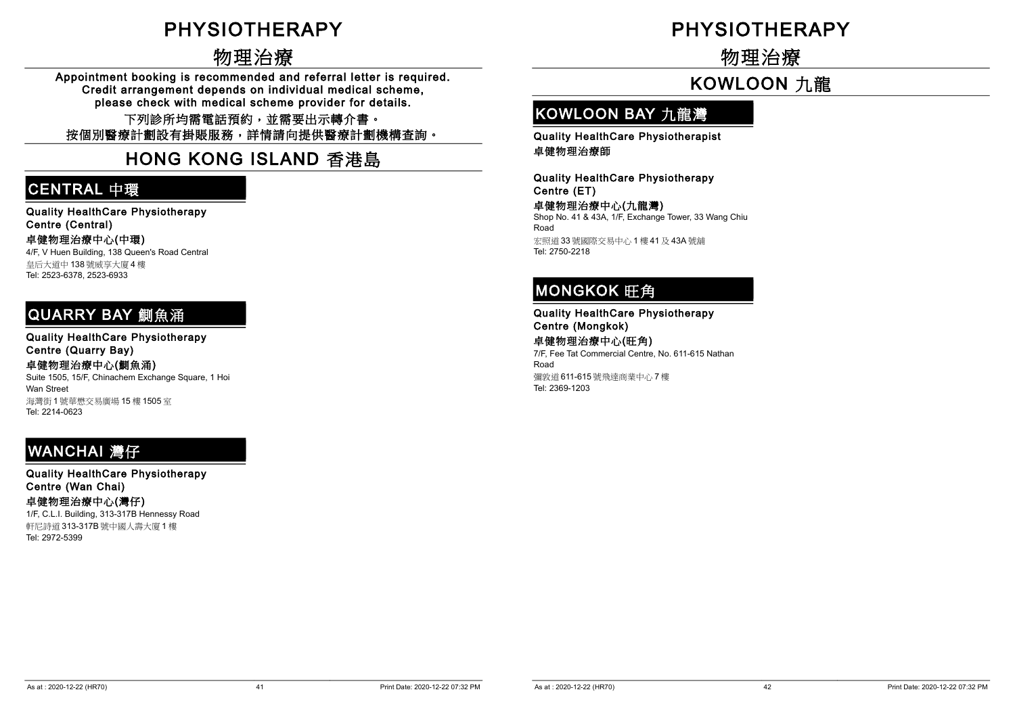# **PHYSIOTHERAPY**

# -物理治療

Appointment booking is recommended and referral letter is required. Credit arrangement depends on individual medical scheme, please check with medical scheme provider for details.

下列診所均需電話預約,並需要出示轉介書。 按個別醫療計劃設有掛賬服務,詳情請向提供醫療計劃機構查詢。

# -HONG KONG ISLAND 香港島

### CENTRAL 中環

Quality HealthCare Physiotherapy Centre (Central) 卓健物理治療中心(中環) 4/F, V Huen Building, 138 Queen's Road Central 皇后大道中 138 號威享大廈 4 樓 Tel: 2523-6378, 2523-6933

### QUARRY BAY 鰂魚涌

Quality HealthCare Physiotherapy Centre (Quarry Bay)

卓健物理治療中心(鰂魚涌) Suite 1505, 15/F, Chinachem Exchange Square, 1 Hoi Wan Street

海灣街 1 號華懋交易廣場 15 樓 1505 室 Tel: 2214-0623

# **WANCHAI 灣仔**

Quality HealthCare Physiotherapy Centre (Wan Chai) 卓健物理治療中心(灣仔)

1/F, C.L.I. Building, 313-317B Hennessy Road 軒尼詩道 313-317B 號中國人壽大廈 1 樓 Tel: 2972-5399

# **PHYSIOTHERAPY**

-物理治療

# -KOWLOON 九龍

# KOWLOON BAY 九龍灣

Quality HealthCare Physiotherapist 卓健物理治療師

Quality HealthCare Physiotherapy Centre (ET)

卓健物理治療中心(九龍灣) Shop No. 41 & 43A, 1/F, Exchange Tower, 33 Wang Chiu Road 宏照道 33 號國際交易中心 1 樓 41 及 43A 號舖 Tel: 2750-2218

### MONGKOK 旺角

Quality HealthCare Physiotherapy Centre (Mongkok)

卓健物理治療中心(旺角) 7/F, Fee Tat Commercial Centre, No. 611-615 Nathan Road 彌敦道 611-615 號飛達商業中心 7 樓 Tel: 2369-1203